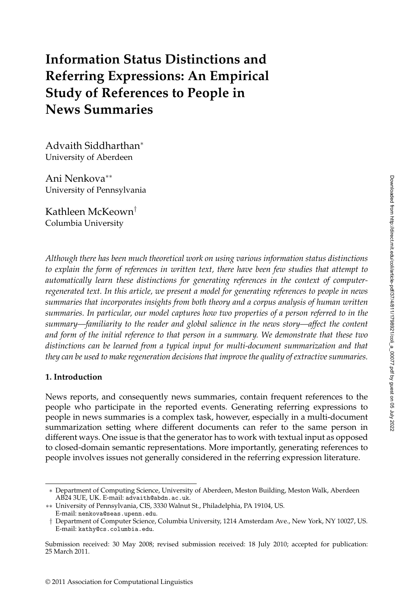# **Information Status Distinctions and Referring Expressions: An Empirical Study of References to People in News Summaries**

Advaith Siddharthan<sup>∗</sup> University of Aberdeen

Ani Nenkova∗∗ University of Pennsylvania

Kathleen McKeown† Columbia University

*Although there has been much theoretical work on using various information status distinctions to explain the form of references in written text, there have been few studies that attempt to automatically learn these distinctions for generating references in the context of computerregenerated text. In this article, we present a model for generating references to people in news summaries that incorporates insights from both theory and a corpus analysis of human written summaries. In particular, our model captures how two properties of a person referred to in the summary—familiarity to the reader and global salience in the news story—affect the content and form of the initial reference to that person in a summary. We demonstrate that these two distinctions can be learned from a typical input for multi-document summarization and that they can be used to make regeneration decisions that improve the quality of extractive summaries.*

### **1. Introduction**

News reports, and consequently news summaries, contain frequent references to the people who participate in the reported events. Generating referring expressions to people in news summaries is a complex task, however, especially in a multi-document summarization setting where different documents can refer to the same person in different ways. One issue is that the generator has to work with textual input as opposed to closed-domain semantic representations. More importantly, generating references to people involves issues not generally considered in the referring expression literature.

<sup>∗</sup> Department of Computing Science, University of Aberdeen, Meston Building, Meston Walk, Aberdeen AB24 3UE, UK. E-mail: advaith@abdn.ac.uk.

<sup>∗∗</sup> University of Pennsylvania, CIS, 3330 Walnut St., Philadelphia, PA 19104, US. E-mail: nenkova@seas.upenn.edu.

<sup>†</sup> Department of Computer Science, Columbia University, 1214 Amsterdam Ave., New York, NY 10027, US. E-mail: kathy@cs.columbia.edu.

Submission received: 30 May 2008; revised submission received: 18 July 2010; accepted for publication: 25 March 2011.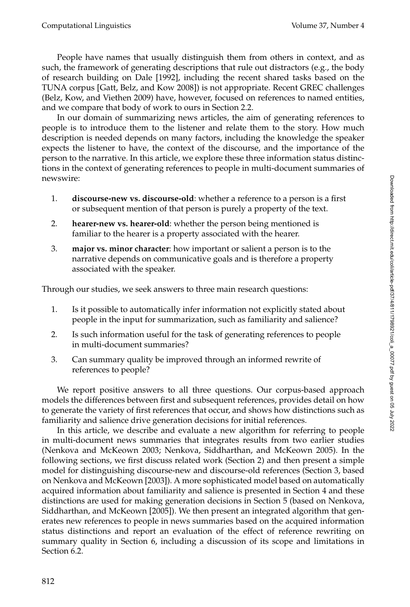People have names that usually distinguish them from others in context, and as such, the framework of generating descriptions that rule out distractors (e.g., the body of research building on Dale [1992], including the recent shared tasks based on the TUNA corpus [Gatt, Belz, and Kow 2008]) is not appropriate. Recent GREC challenges (Belz, Kow, and Viethen 2009) have, however, focused on references to named entities, and we compare that body of work to ours in Section 2.2.

In our domain of summarizing news articles, the aim of generating references to people is to introduce them to the listener and relate them to the story. How much description is needed depends on many factors, including the knowledge the speaker expects the listener to have, the context of the discourse, and the importance of the person to the narrative. In this article, we explore these three information status distinctions in the context of generating references to people in multi-document summaries of newswire:

- 1. **discourse-new vs. discourse-old**: whether a reference to a person is a first or subsequent mention of that person is purely a property of the text.
- 2. **hearer-new vs. hearer-old**: whether the person being mentioned is familiar to the hearer is a property associated with the hearer.
- 3. **major vs. minor character**: how important or salient a person is to the narrative depends on communicative goals and is therefore a property associated with the speaker.

Through our studies, we seek answers to three main research questions:

- 1. Is it possible to automatically infer information not explicitly stated about people in the input for summarization, such as familiarity and salience?
- 2. Is such information useful for the task of generating references to people in multi-document summaries?
- 3. Can summary quality be improved through an informed rewrite of references to people?

We report positive answers to all three questions. Our corpus-based approach models the differences between first and subsequent references, provides detail on how to generate the variety of first references that occur, and shows how distinctions such as familiarity and salience drive generation decisions for initial references.

In this article, we describe and evaluate a new algorithm for referring to people in multi-document news summaries that integrates results from two earlier studies (Nenkova and McKeown 2003; Nenkova, Siddharthan, and McKeown 2005). In the following sections, we first discuss related work (Section 2) and then present a simple model for distinguishing discourse-new and discourse-old references (Section 3, based on Nenkova and McKeown [2003]). A more sophisticated model based on automatically acquired information about familiarity and salience is presented in Section 4 and these distinctions are used for making generation decisions in Section 5 (based on Nenkova, Siddharthan, and McKeown [2005]). We then present an integrated algorithm that generates new references to people in news summaries based on the acquired information status distinctions and report an evaluation of the effect of reference rewriting on summary quality in Section 6, including a discussion of its scope and limitations in Section 6.2.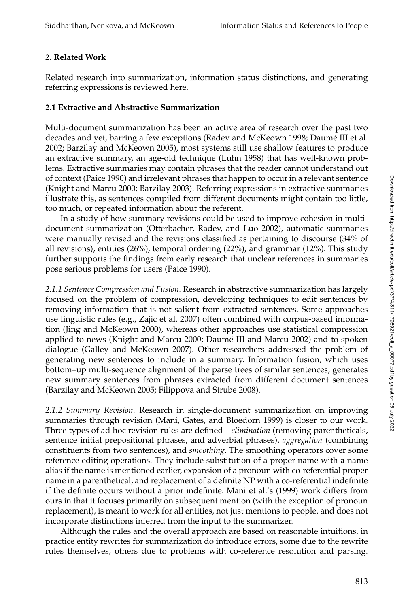# **2. Related Work**

Related research into summarization, information status distinctions, and generating referring expressions is reviewed here.

### **2.1 Extractive and Abstractive Summarization**

Multi-document summarization has been an active area of research over the past two decades and yet, barring a few exceptions (Radev and McKeown 1998; Daumé III et al. 2002; Barzilay and McKeown 2005), most systems still use shallow features to produce an extractive summary, an age-old technique (Luhn 1958) that has well-known problems. Extractive summaries may contain phrases that the reader cannot understand out of context (Paice 1990) and irrelevant phrases that happen to occur in a relevant sentence (Knight and Marcu 2000; Barzilay 2003). Referring expressions in extractive summaries illustrate this, as sentences compiled from different documents might contain too little, too much, or repeated information about the referent.

In a study of how summary revisions could be used to improve cohesion in multidocument summarization (Otterbacher, Radev, and Luo 2002), automatic summaries were manually revised and the revisions classified as pertaining to discourse (34% of all revisions), entities (26%), temporal ordering (22%), and grammar (12%). This study further supports the findings from early research that unclear references in summaries pose serious problems for users (Paice 1990).

*2.1.1 Sentence Compression and Fusion.* Research in abstractive summarization has largely focused on the problem of compression, developing techniques to edit sentences by removing information that is not salient from extracted sentences. Some approaches use linguistic rules (e.g., Zajic et al. 2007) often combined with corpus-based information (Jing and McKeown 2000), whereas other approaches use statistical compression applied to news (Knight and Marcu 2000; Daume III and Marcu 2002) and to spoken ´ dialogue (Galley and McKeown 2007). Other researchers addressed the problem of generating new sentences to include in a summary. Information fusion, which uses bottom–up multi-sequence alignment of the parse trees of similar sentences, generates new summary sentences from phrases extracted from different document sentences (Barzilay and McKeown 2005; Filippova and Strube 2008).

*2.1.2 Summary Revision.* Research in single-document summarization on improving summaries through revision (Mani, Gates, and Bloedorn 1999) is closer to our work. Three types of ad hoc revision rules are defined—*elimination* (removing parentheticals, sentence initial prepositional phrases, and adverbial phrases), *aggregation* (combining constituents from two sentences), and *smoothing*. The smoothing operators cover some reference editing operations. They include substitution of a proper name with a name alias if the name is mentioned earlier, expansion of a pronoun with co-referential proper name in a parenthetical, and replacement of a definite NP with a co-referential indefinite if the definite occurs without a prior indefinite. Mani et al.'s (1999) work differs from ours in that it focuses primarily on subsequent mention (with the exception of pronoun replacement), is meant to work for all entities, not just mentions to people, and does not incorporate distinctions inferred from the input to the summarizer.

Although the rules and the overall approach are based on reasonable intuitions, in practice entity rewrites for summarization do introduce errors, some due to the rewrite rules themselves, others due to problems with co-reference resolution and parsing.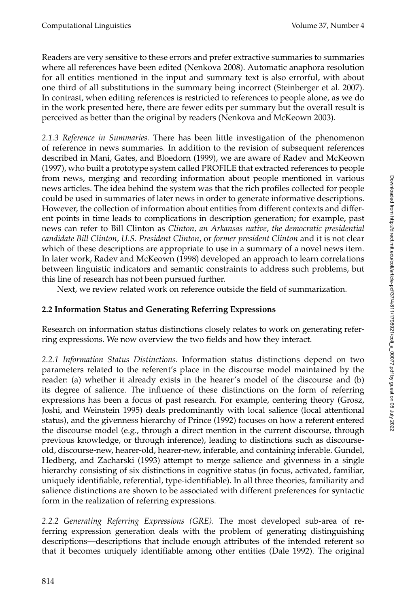Readers are very sensitive to these errors and prefer extractive summaries to summaries where all references have been edited (Nenkova 2008). Automatic anaphora resolution for all entities mentioned in the input and summary text is also errorful, with about one third of all substitutions in the summary being incorrect (Steinberger et al. 2007). In contrast, when editing references is restricted to references to people alone, as we do in the work presented here, there are fewer edits per summary but the overall result is perceived as better than the original by readers (Nenkova and McKeown 2003).

*2.1.3 Reference in Summaries.* There has been little investigation of the phenomenon of reference in news summaries. In addition to the revision of subsequent references described in Mani, Gates, and Bloedorn (1999), we are aware of Radev and McKeown (1997), who built a prototype system called PROFILE that extracted references to people from news, merging and recording information about people mentioned in various news articles. The idea behind the system was that the rich profiles collected for people could be used in summaries of later news in order to generate informative descriptions. However, the collection of information about entities from different contexts and different points in time leads to complications in description generation; for example, past news can refer to Bill Clinton as *Clinton, an Arkansas native*, *the democratic presidential candidate Bill Clinton*, *U.S. President Clinton*, or *former president Clinton* and it is not clear which of these descriptions are appropriate to use in a summary of a novel news item. In later work, Radev and McKeown (1998) developed an approach to learn correlations between linguistic indicators and semantic constraints to address such problems, but this line of research has not been pursued further.

Next, we review related work on reference outside the field of summarization.

# **2.2 Information Status and Generating Referring Expressions**

Research on information status distinctions closely relates to work on generating referring expressions. We now overview the two fields and how they interact.

*2.2.1 Information Status Distinctions.* Information status distinctions depend on two parameters related to the referent's place in the discourse model maintained by the reader: (a) whether it already exists in the hearer's model of the discourse and (b) its degree of salience. The influence of these distinctions on the form of referring expressions has been a focus of past research. For example, centering theory (Grosz, Joshi, and Weinstein 1995) deals predominantly with local salience (local attentional status), and the givenness hierarchy of Prince (1992) focuses on how a referent entered the discourse model (e.g., through a direct mention in the current discourse, through previous knowledge, or through inference), leading to distinctions such as discourseold, discourse-new, hearer-old, hearer-new, inferable, and containing inferable. Gundel, Hedberg, and Zacharski (1993) attempt to merge salience and givenness in a single hierarchy consisting of six distinctions in cognitive status (in focus, activated, familiar, uniquely identifiable, referential, type-identifiable). In all three theories, familiarity and salience distinctions are shown to be associated with different preferences for syntactic form in the realization of referring expressions.

*2.2.2 Generating Referring Expressions (GRE).* The most developed sub-area of referring expression generation deals with the problem of generating distinguishing descriptions—descriptions that include enough attributes of the intended referent so that it becomes uniquely identifiable among other entities (Dale 1992). The original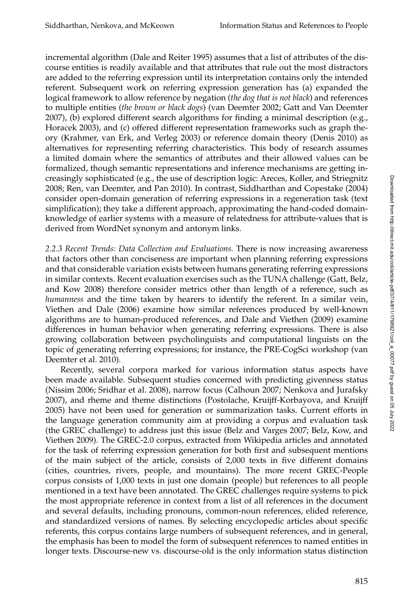incremental algorithm (Dale and Reiter 1995) assumes that a list of attributes of the discourse entities is readily available and that attributes that rule out the most distractors are added to the referring expression until its interpretation contains only the intended referent. Subsequent work on referring expression generation has (a) expanded the logical framework to allow reference by negation (*the dog that is not black*) and references to multiple entities (*the brown or black dogs*) (van Deemter 2002; Gatt and Van Deemter 2007), (b) explored different search algorithms for finding a minimal description (e.g., Horacek 2003), and (c) offered different representation frameworks such as graph theory (Krahmer, van Erk, and Verleg 2003) or reference domain theory (Denis 2010) as alternatives for representing referring characteristics. This body of research assumes a limited domain where the semantics of attributes and their allowed values can be formalized, though semantic representations and inference mechanisms are getting increasingly sophisticated (e.g., the use of description logic: Areces, Koller, and Striegnitz 2008; Ren, van Deemter, and Pan 2010). In contrast, Siddharthan and Copestake (2004) consider open-domain generation of referring expressions in a regeneration task (text simplification); they take a different approach, approximating the hand-coded domainknowledge of earlier systems with a measure of relatedness for attribute-values that is derived from WordNet synonym and antonym links.

*2.2.3 Recent Trends: Data Collection and Evaluations.* There is now increasing awareness that factors other than conciseness are important when planning referring expressions and that considerable variation exists between humans generating referring expressions in similar contexts. Recent evaluation exercises such as the TUNA challenge (Gatt, Belz, and Kow 2008) therefore consider metrics other than length of a reference, such as *humanness* and the time taken by hearers to identify the referent. In a similar vein, Viethen and Dale (2006) examine how similar references produced by well-known algorithms are to human-produced references, and Dale and Viethen (2009) examine differences in human behavior when generating referring expressions. There is also growing collaboration between psycholinguists and computational linguists on the topic of generating referring expressions; for instance, the PRE-CogSci workshop (van Deemter et al. 2010).

Recently, several corpora marked for various information status aspects have been made available. Subsequent studies concerned with predicting givenness status (Nissim 2006; Sridhar et al. 2008), narrow focus (Calhoun 2007; Nenkova and Jurafsky 2007), and rheme and theme distinctions (Postolache, Kruijff-Korbayova, and Kruijff 2005) have not been used for generation or summarization tasks. Current efforts in the language generation community aim at providing a corpus and evaluation task (the GREC challenge) to address just this issue (Belz and Varges 2007; Belz, Kow, and Viethen 2009). The GREC-2.0 corpus, extracted from Wikipedia articles and annotated for the task of referring expression generation for both first and subsequent mentions of the main subject of the article, consists of 2,000 texts in five different domains (cities, countries, rivers, people, and mountains). The more recent GREC-People corpus consists of 1,000 texts in just one domain (people) but references to all people mentioned in a text have been annotated. The GREC challenges require systems to pick the most appropriate reference in context from a list of all references in the document and several defaults, including pronouns, common-noun references, elided reference, and standardized versions of names. By selecting encyclopedic articles about specific referents, this corpus contains large numbers of subsequent references, and in general, the emphasis has been to model the form of subsequent references to named entities in longer texts. Discourse-new vs. discourse-old is the only information status distinction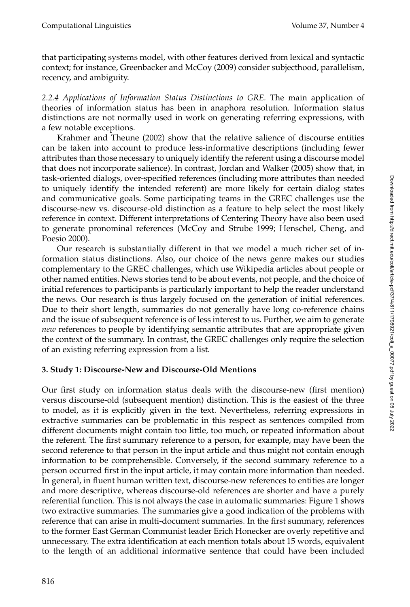that participating systems model, with other features derived from lexical and syntactic context; for instance, Greenbacker and McCoy (2009) consider subjecthood, parallelism, recency, and ambiguity.

*2.2.4 Applications of Information Status Distinctions to GRE.* The main application of theories of information status has been in anaphora resolution. Information status distinctions are not normally used in work on generating referring expressions, with a few notable exceptions.

Krahmer and Theune (2002) show that the relative salience of discourse entities can be taken into account to produce less-informative descriptions (including fewer attributes than those necessary to uniquely identify the referent using a discourse model that does not incorporate salience). In contrast, Jordan and Walker (2005) show that, in task-oriented dialogs, over-specified references (including more attributes than needed to uniquely identify the intended referent) are more likely for certain dialog states and communicative goals. Some participating teams in the GREC challenges use the discourse-new vs. discourse-old distinction as a feature to help select the most likely reference in context. Different interpretations of Centering Theory have also been used to generate pronominal references (McCoy and Strube 1999; Henschel, Cheng, and Poesio 2000).

Our research is substantially different in that we model a much richer set of information status distinctions. Also, our choice of the news genre makes our studies complementary to the GREC challenges, which use Wikipedia articles about people or other named entities. News stories tend to be about events, not people, and the choice of initial references to participants is particularly important to help the reader understand the news. Our research is thus largely focused on the generation of initial references. Due to their short length, summaries do not generally have long co-reference chains and the issue of subsequent reference is of less interest to us. Further, we aim to generate *new* references to people by identifying semantic attributes that are appropriate given the context of the summary. In contrast, the GREC challenges only require the selection of an existing referring expression from a list.

# **3. Study 1: Discourse-New and Discourse-Old Mentions**

Our first study on information status deals with the discourse-new (first mention) versus discourse-old (subsequent mention) distinction. This is the easiest of the three to model, as it is explicitly given in the text. Nevertheless, referring expressions in extractive summaries can be problematic in this respect as sentences compiled from different documents might contain too little, too much, or repeated information about the referent. The first summary reference to a person, for example, may have been the second reference to that person in the input article and thus might not contain enough information to be comprehensible. Conversely, if the second summary reference to a person occurred first in the input article, it may contain more information than needed. In general, in fluent human written text, discourse-new references to entities are longer and more descriptive, whereas discourse-old references are shorter and have a purely referential function. This is not always the case in automatic summaries: Figure 1 shows two extractive summaries. The summaries give a good indication of the problems with reference that can arise in multi-document summaries. In the first summary, references to the former East German Communist leader Erich Honecker are overly repetitive and unnecessary. The extra identification at each mention totals about 15 words, equivalent to the length of an additional informative sentence that could have been included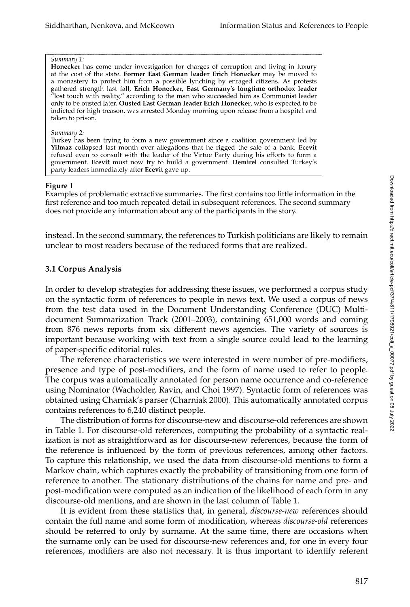#### Summary 1:

Honecker has come under investigation for charges of corruption and living in luxury at the cost of the state. Former East German leader Erich Honecker may be moved to a monastery to protect him from a possible lynching by enraged citizens. As protests gathered strength last fall, Erich Honecker, East Germany's longtime orthodox leader "lost touch with reality," according to the man who succeeded him as Communist leader only to be ousted later. Ousted East German leader Erich Honecker, who is expected to be indicted for high treason, was arrested Monday morning upon release from a hospital and taken to prison.

#### Summary 2:

Turkey has been trying to form a new government since a coalition government led by Yilmaz collapsed last month over allegations that he rigged the sale of a bank. Ecevit refused even to consult with the leader of the Virtue Party during his efforts to form a government. Ecevit must now try to build a government. Demirel consulted Turkey's party leaders immediately after Ecevit gave up.

#### **Figure 1**

Examples of problematic extractive summaries. The first contains too little information in the first reference and too much repeated detail in subsequent references. The second summary does not provide any information about any of the participants in the story.

instead. In the second summary, the references to Turkish politicians are likely to remain unclear to most readers because of the reduced forms that are realized.

#### **3.1 Corpus Analysis**

In order to develop strategies for addressing these issues, we performed a corpus study on the syntactic form of references to people in news text. We used a corpus of news from the test data used in the Document Understanding Conference (DUC) Multidocument Summarization Track (2001–2003), containing 651,000 words and coming from 876 news reports from six different news agencies. The variety of sources is important because working with text from a single source could lead to the learning of paper-specific editorial rules.

The reference characteristics we were interested in were number of pre-modifiers, presence and type of post-modifiers, and the form of name used to refer to people. The corpus was automatically annotated for person name occurrence and co-reference using Nominator (Wacholder, Ravin, and Choi 1997). Syntactic form of references was obtained using Charniak's parser (Charniak 2000). This automatically annotated corpus contains references to 6,240 distinct people.

The distribution of forms for discourse-new and discourse-old references are shown in Table 1. For discourse-old references, computing the probability of a syntactic realization is not as straightforward as for discourse-new references, because the form of the reference is influenced by the form of previous references, among other factors. To capture this relationship, we used the data from discourse-old mentions to form a Markov chain, which captures exactly the probability of transitioning from one form of reference to another. The stationary distributions of the chains for name and pre- and post-modification were computed as an indication of the likelihood of each form in any discourse-old mentions, and are shown in the last column of Table 1.

It is evident from these statistics that, in general, *discourse-new* references should contain the full name and some form of modification, whereas *discourse-old* references should be referred to only by surname. At the same time, there are occasions when the surname only can be used for discourse-new references and, for one in every four references, modifiers are also not necessary. It is thus important to identify referent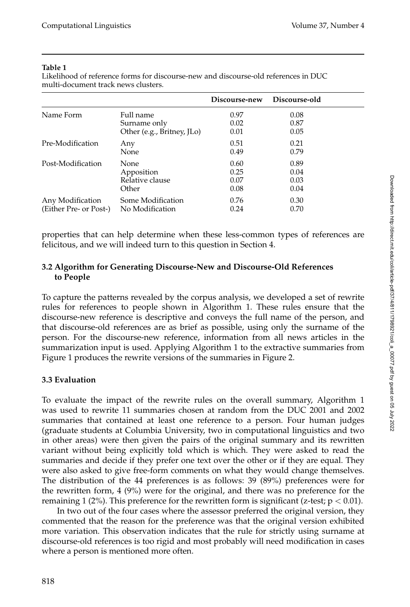Likelihood of reference forms for discourse-new and discourse-old references in DUC multi-document track news clusters.

|                        |                            | Discourse-new | Discourse-old |
|------------------------|----------------------------|---------------|---------------|
| Name Form              | Full name                  | 0.97          | 0.08          |
|                        | Surname only               | 0.02          | 0.87          |
|                        | Other (e.g., Britney, JLo) | 0.01          | 0.05          |
| Pre-Modification       | Any                        | 0.51          | 0.21          |
|                        | None                       | 0.49          | 0.79          |
| Post-Modification      | None                       | 0.60          | 0.89          |
|                        | Apposition                 | 0.25          | 0.04          |
|                        | Relative clause            | 0.07          | 0.03          |
|                        | Other                      | 0.08          | 0.04          |
| Any Modification       | Some Modification          | 0.76          | 0.30          |
| (Either Pre- or Post-) | No Modification            | 0.24          | 0.70          |

properties that can help determine when these less-common types of references are felicitous, and we will indeed turn to this question in Section 4.

# **3.2 Algorithm for Generating Discourse-New and Discourse-Old References to People**

To capture the patterns revealed by the corpus analysis, we developed a set of rewrite rules for references to people shown in Algorithm 1. These rules ensure that the discourse-new reference is descriptive and conveys the full name of the person, and that discourse-old references are as brief as possible, using only the surname of the person. For the discourse-new reference, information from all news articles in the summarization input is used. Applying Algorithm 1 to the extractive summaries from Figure 1 produces the rewrite versions of the summaries in Figure 2.

# **3.3 Evaluation**

To evaluate the impact of the rewrite rules on the overall summary, Algorithm 1 was used to rewrite 11 summaries chosen at random from the DUC 2001 and 2002 summaries that contained at least one reference to a person. Four human judges (graduate students at Columbia University, two in computational linguistics and two in other areas) were then given the pairs of the original summary and its rewritten variant without being explicitly told which is which. They were asked to read the summaries and decide if they prefer one text over the other or if they are equal. They were also asked to give free-form comments on what they would change themselves. The distribution of the 44 preferences is as follows: 39 (89%) preferences were for the rewritten form, 4 (9%) were for the original, and there was no preference for the remaining 1 (2%). This preference for the rewritten form is significant (z-test;  $p < 0.01$ ).

In two out of the four cases where the assessor preferred the original version, they commented that the reason for the preference was that the original version exhibited more variation. This observation indicates that the rule for strictly using surname at discourse-old references is too rigid and most probably will need modification in cases where a person is mentioned more often.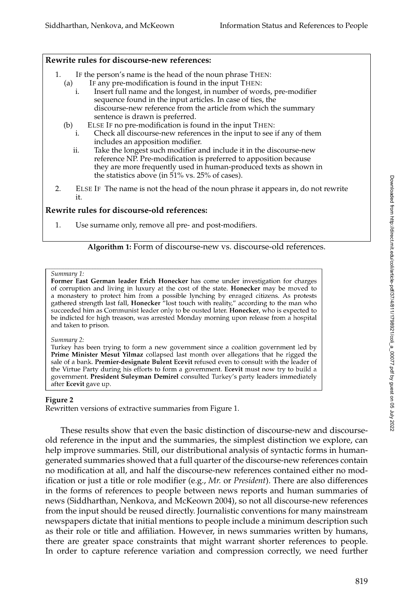#### **Rewrite rules for discourse-new references:**

- 1. IF the person's name is the head of the noun phrase THEN:<br>(a) IF any pre-modification is found in the input THEN:
	- IF any pre-modification is found in the input THEN:
		- i. Insert full name and the longest, in number of words, pre-modifier sequence found in the input articles. In case of ties, the discourse-new reference from the article from which the summary sentence is drawn is preferred.
	- (b) ELSE IF no pre-modification is found in the input THEN:<br>i. Check all discourse-new references in the input to see i
		- Check all discourse-new references in the input to see if any of them includes an apposition modifier.
		- ii. Take the longest such modifier and include it in the discourse-new reference NP. Pre-modification is preferred to apposition because they are more frequently used in human-produced texts as shown in the statistics above (in 51% vs. 25% of cases).
- 2. ELSE IF The name is not the head of the noun phrase it appears in, do not rewrite it.

#### **Rewrite rules for discourse-old references:**

1. Use surname only, remove all pre- and post-modifiers.

#### **Algorithm 1:** Form of discourse-new vs. discourse-old references.

#### Summary 1:

Former East German leader Erich Honecker has come under investigation for charges of corruption and living in luxury at the cost of the state. Honecker may be moved to a monastery to protect him from a possible lynching by enraged citizens. As protests gathered strength last fall, **Honecker** "lost touch with reality," according to the man who succeeded him as Communist leader only to be be indicted for high treason, was arrested Monday morning upon release from a hospital and taken to prison.

#### Summary 2:

Turkey has been trying to form a new government since a coalition government led by Prime Minister Mesut Yilmaz collapsed last month over allegations that he rigged the sale of a bank. Premier-designate Bulent Ecevit refused even to consult with the leader of the Virtue Party during his efforts to form a government. Ecevit must now try to build a government. President Suleyman Demirel consulted Turkey's party leaders immediately after Ecevit gave up.

#### **Figure 2**

Rewritten versions of extractive summaries from Figure 1.

These results show that even the basic distinction of discourse-new and discourseold reference in the input and the summaries, the simplest distinction we explore, can help improve summaries. Still, our distributional analysis of syntactic forms in humangenerated summaries showed that a full quarter of the discourse-new references contain no modification at all, and half the discourse-new references contained either no modification or just a title or role modifier (e.g., *Mr.* or *President*). There are also differences in the forms of references to people between news reports and human summaries of news (Siddharthan, Nenkova, and McKeown 2004), so not all discourse-new references from the input should be reused directly. Journalistic conventions for many mainstream newspapers dictate that initial mentions to people include a minimum description such as their role or title and affiliation. However, in news summaries written by humans, there are greater space constraints that might warrant shorter references to people. In order to capture reference variation and compression correctly, we need further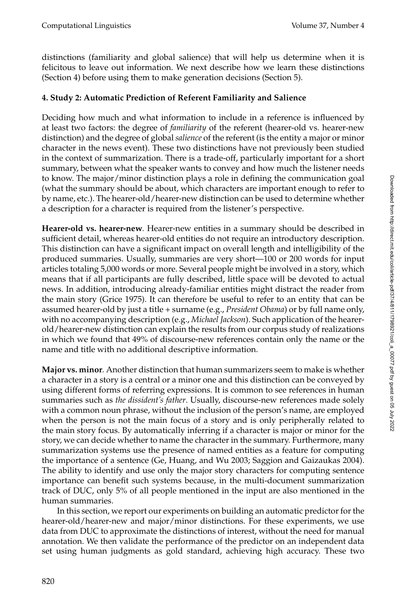distinctions (familiarity and global salience) that will help us determine when it is felicitous to leave out information. We next describe how we learn these distinctions (Section 4) before using them to make generation decisions (Section 5).

# **4. Study 2: Automatic Prediction of Referent Familiarity and Salience**

Deciding how much and what information to include in a reference is influenced by at least two factors: the degree of *familiarity* of the referent (hearer-old vs. hearer-new distinction) and the degree of global *salience* of the referent (is the entity a major or minor character in the news event). These two distinctions have not previously been studied in the context of summarization. There is a trade-off, particularly important for a short summary, between what the speaker wants to convey and how much the listener needs to know. The major/minor distinction plays a role in defining the communication goal (what the summary should be about, which characters are important enough to refer to by name, etc.). The hearer-old/hearer-new distinction can be used to determine whether a description for a character is required from the listener's perspective.

**Hearer-old vs. hearer-new***.* Hearer-new entities in a summary should be described in sufficient detail, whereas hearer-old entities do not require an introductory description. This distinction can have a significant impact on overall length and intelligibility of the produced summaries. Usually, summaries are very short—100 or 200 words for input articles totaling 5,000 words or more. Several people might be involved in a story, which means that if all participants are fully described, little space will be devoted to actual news. In addition, introducing already-familiar entities might distract the reader from the main story (Grice 1975). It can therefore be useful to refer to an entity that can be assumed hearer-old by just a title + surname (e.g., *President Obama*) or by full name only, with no accompanying description (e.g., *Michael Jackson*). Such application of the hearerold/hearer-new distinction can explain the results from our corpus study of realizations in which we found that 49% of discourse-new references contain only the name or the name and title with no additional descriptive information.

**Major vs. minor***.* Another distinction that human summarizers seem to make is whether a character in a story is a central or a minor one and this distinction can be conveyed by using different forms of referring expressions. It is common to see references in human summaries such as *the dissident's father*. Usually, discourse-new references made solely with a common noun phrase, without the inclusion of the person's name, are employed when the person is not the main focus of a story and is only peripherally related to the main story focus. By automatically inferring if a character is major or minor for the story, we can decide whether to name the character in the summary. Furthermore, many summarization systems use the presence of named entities as a feature for computing the importance of a sentence (Ge, Huang, and Wu 2003; Saggion and Gaizaukas 2004). The ability to identify and use only the major story characters for computing sentence importance can benefit such systems because, in the multi-document summarization track of DUC, only 5% of all people mentioned in the input are also mentioned in the human summaries.

In this section, we report our experiments on building an automatic predictor for the hearer-old/hearer-new and major/minor distinctions. For these experiments, we use data from DUC to approximate the distinctions of interest, without the need for manual annotation. We then validate the performance of the predictor on an independent data set using human judgments as gold standard, achieving high accuracy. These two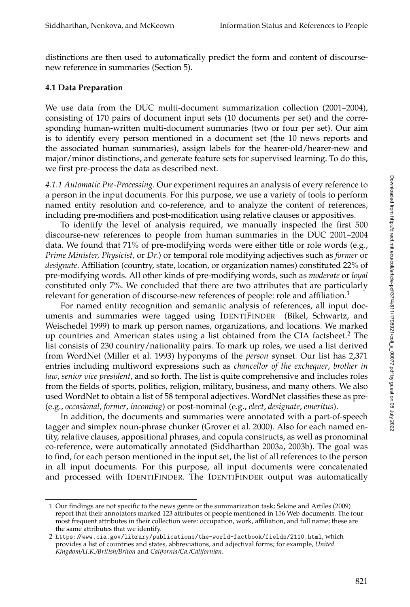distinctions are then used to automatically predict the form and content of discoursenew reference in summaries (Section 5).

### **4.1 Data Preparation**

We use data from the DUC multi-document summarization collection (2001–2004), consisting of 170 pairs of document input sets (10 documents per set) and the corresponding human-written multi-document summaries (two or four per set). Our aim is to identify every person mentioned in a document set (the 10 news reports and the associated human summaries), assign labels for the hearer-old/hearer-new and major/minor distinctions, and generate feature sets for supervised learning. To do this, we first pre-process the data as described next.

*4.1.1 Automatic Pre-Processing.* Our experiment requires an analysis of every reference to a person in the input documents. For this purpose, we use a variety of tools to perform named entity resolution and co-reference, and to analyze the content of references, including pre-modifiers and post-modification using relative clauses or appositives.

To identify the level of analysis required, we manually inspected the first 500 discourse-new references to people from human summaries in the DUC 2001–2004 data. We found that 71% of pre-modifying words were either title or role words (e.g., *Prime Minister, Physicist,* or *Dr.*) or temporal role modifying adjectives such as *former* or *designate*. Affiliation (country, state, location, or organization names) constituted 22% of pre-modifying words. All other kinds of pre-modifying words, such as *moderate* or *loyal* constituted only 7%. We concluded that there are two attributes that are particularly relevant for generation of discourse-new references of people: role and affiliation.<sup>1</sup>

For named entity recognition and semantic analysis of references, all input documents and summaries were tagged using IDENTIFINDER (Bikel, Schwartz, and Weischedel 1999) to mark up person names, organizations, and locations. We marked up countries and American states using a list obtained from the CIA factsheet.<sup>2</sup> The list consists of 230 country/nationality pairs. To mark up roles, we used a list derived from WordNet (Miller et al. 1993) hyponyms of the *person* synset. Our list has 2,371 entries including multiword expressions such as *chancellor of the exchequer*, *brother in law*, *senior vice president*, and so forth. The list is quite comprehensive and includes roles from the fields of sports, politics, religion, military, business, and many others. We also used WordNet to obtain a list of 58 temporal adjectives. WordNet classifies these as pre- (e.g., *occasional*, *former*, *incoming*) or post-nominal (e.g., *elect*, *designate*, *emeritus*).

In addition, the documents and summaries were annotated with a part-of-speech tagger and simplex noun-phrase chunker (Grover et al. 2000). Also for each named entity, relative clauses, appositional phrases, and copula constructs, as well as pronominal co-reference, were automatically annotated (Siddharthan 2003a, 2003b). The goal was to find, for each person mentioned in the input set, the list of all references to the person in all input documents. For this purpose, all input documents were concatenated and processed with IDENTIFINDER. The IDENTIFINDER output was automatically

<sup>1</sup> Our findings are not specific to the news genre or the summarization task; Sekine and Artiles (2009) report that their annotators marked 123 attributes of people mentioned in 156 Web documents. The four most frequent attributes in their collection were: occupation, work, affiliation, and full name; these are the same attributes that we identify.

<sup>2</sup> https://www.cia.gov/library/publications/the-world-factbook/fields/2110.html, which provides a list of countries and states, abbreviations, and adjectival forms; for example, *United Kingdom/U.K./British/Briton* and *California/Ca./Californian*.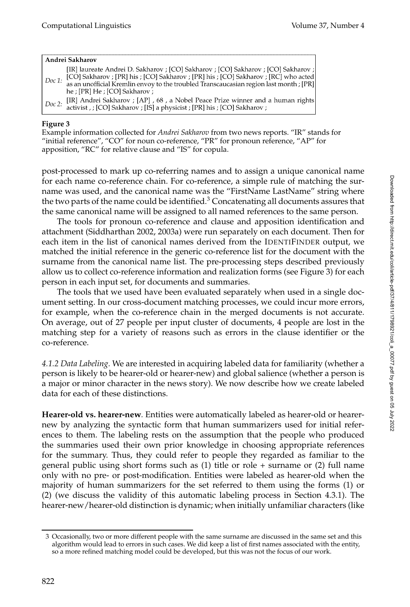#### Andrei Sakharov

| Doc 1: | [IR] laureate Andrei D. Sakharov ; [CO] Sakharov ; [CO] Sakharov ; [CO] Sakharov ;<br>[CO] Sakharov ; [PR] his ; [CO] Sakharov ; [PR] his ; [CO] Sakharov ; [RC] who acted as an unofficial Kremlin envoy to the troubled Transcaucasian region last month ; [PR]<br>he ; $[PR]$ He ; $[CO]$ Sakharov ; |
|--------|---------------------------------------------------------------------------------------------------------------------------------------------------------------------------------------------------------------------------------------------------------------------------------------------------------|
| Doc 2: | [IR] Andrei Sakharov ; [AP] , 68 , a Nobel Peace Prize winner and a human rights activist , ; [CO] Sakharov ; [IS] a physicist ; [PR] his ; [CO] Sakharov ;                                                                                                                                             |

#### **Figure 3**

Example information collected for *Andrei Sakharov* from two news reports. "IR" stands for "initial reference", "CO" for noun co-reference, "PR" for pronoun reference, "AP" for apposition, "RC" for relative clause and "IS" for copula.

post-processed to mark up co-referring names and to assign a unique canonical name for each name co-reference chain. For co-reference, a simple rule of matching the surname was used, and the canonical name was the "FirstName LastName" string where the two parts of the name could be identified. $3$  Concatenating all documents assures that the same canonical name will be assigned to all named references to the same person.

The tools for pronoun co-reference and clause and apposition identification and attachment (Siddharthan 2002, 2003a) were run separately on each document. Then for each item in the list of canonical names derived from the IDENTIFINDER output, we matched the initial reference in the generic co-reference list for the document with the surname from the canonical name list. The pre-processing steps described previously allow us to collect co-reference information and realization forms (see Figure 3) for each person in each input set, for documents and summaries.

The tools that we used have been evaluated separately when used in a single document setting. In our cross-document matching processes, we could incur more errors, for example, when the co-reference chain in the merged documents is not accurate. On average, out of 27 people per input cluster of documents, 4 people are lost in the matching step for a variety of reasons such as errors in the clause identifier or the co-reference.

*4.1.2 Data Labeling.* We are interested in acquiring labeled data for familiarity (whether a person is likely to be hearer-old or hearer-new) and global salience (whether a person is a major or minor character in the news story). We now describe how we create labeled data for each of these distinctions.

**Hearer-old vs. hearer-new***.* Entities were automatically labeled as hearer-old or hearernew by analyzing the syntactic form that human summarizers used for initial references to them. The labeling rests on the assumption that the people who produced the summaries used their own prior knowledge in choosing appropriate references for the summary. Thus, they could refer to people they regarded as familiar to the general public using short forms such as (1) title or role + surname or (2) full name only with no pre- or post-modification. Entities were labeled as hearer-old when the majority of human summarizers for the set referred to them using the forms (1) or (2) (we discuss the validity of this automatic labeling process in Section 4.3.1). The hearer-new/hearer-old distinction is dynamic; when initially unfamiliar characters (like

<sup>3</sup> Occasionally, two or more different people with the same surname are discussed in the same set and this algorithm would lead to errors in such cases. We did keep a list of first names associated with the entity, so a more refined matching model could be developed, but this was not the focus of our work.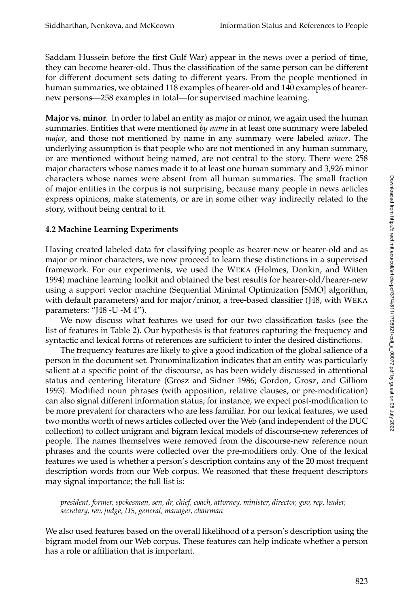Saddam Hussein before the first Gulf War) appear in the news over a period of time, they can become hearer-old. Thus the classification of the same person can be different for different document sets dating to different years. From the people mentioned in human summaries, we obtained 118 examples of hearer-old and 140 examples of hearernew persons—258 examples in total—for supervised machine learning.

**Major vs. minor***.* In order to label an entity as major or minor, we again used the human summaries. Entities that were mentioned *by name* in at least one summary were labeled *major*, and those not mentioned by name in any summary were labeled *minor*. The underlying assumption is that people who are not mentioned in any human summary, or are mentioned without being named, are not central to the story. There were 258 major characters whose names made it to at least one human summary and 3,926 minor characters whose names were absent from all human summaries. The small fraction of major entities in the corpus is not surprising, because many people in news articles express opinions, make statements, or are in some other way indirectly related to the story, without being central to it.

### **4.2 Machine Learning Experiments**

Having created labeled data for classifying people as hearer-new or hearer-old and as major or minor characters, we now proceed to learn these distinctions in a supervised framework. For our experiments, we used the WEKA (Holmes, Donkin, and Witten 1994) machine learning toolkit and obtained the best results for hearer-old/hearer-new using a support vector machine (Sequential Minimal Optimization [SMO] algorithm, with default parameters) and for major/minor, a tree-based classifier (J48, with WEKA parameters: "J48 -U -M 4").

We now discuss what features we used for our two classification tasks (see the list of features in Table 2). Our hypothesis is that features capturing the frequency and syntactic and lexical forms of references are sufficient to infer the desired distinctions.

The frequency features are likely to give a good indication of the global salience of a person in the document set. Pronominalization indicates that an entity was particularly salient at a specific point of the discourse, as has been widely discussed in attentional status and centering literature (Grosz and Sidner 1986; Gordon, Grosz, and Gilliom 1993). Modified noun phrases (with apposition, relative clauses, or pre-modification) can also signal different information status; for instance, we expect post-modification to be more prevalent for characters who are less familiar. For our lexical features, we used two months worth of news articles collected over the Web (and independent of the DUC collection) to collect unigram and bigram lexical models of discourse-new references of people. The names themselves were removed from the discourse-new reference noun phrases and the counts were collected over the pre-modifiers only. One of the lexical features we used is whether a person's description contains any of the 20 most frequent description words from our Web corpus. We reasoned that these frequent descriptors may signal importance; the full list is:

*president, former, spokesman, sen, dr, chief, coach, attorney, minister, director, gov, rep, leader, secretary, rev, judge, US, general, manager, chairman*

We also used features based on the overall likelihood of a person's description using the bigram model from our Web corpus. These features can help indicate whether a person has a role or affiliation that is important.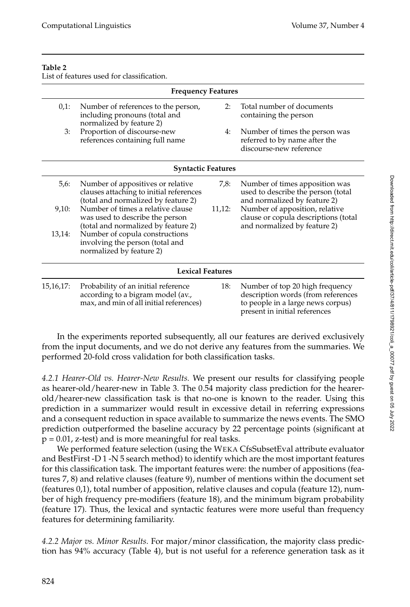List of features used for classification.

|             | <b>Frequency Features</b>                                                                                           |        |                                                                                                                                             |
|-------------|---------------------------------------------------------------------------------------------------------------------|--------|---------------------------------------------------------------------------------------------------------------------------------------------|
| 0,1:        | Number of references to the person,<br>including pronouns (total and<br>normalized by feature 2)                    | 2:     | Total number of documents<br>containing the person                                                                                          |
| 3:          | Proportion of discourse-new<br>references containing full name                                                      | 4:     | Number of times the person was<br>referred to by name after the<br>discourse-new reference                                                  |
|             | <b>Syntactic Features</b>                                                                                           |        |                                                                                                                                             |
| 5,6:        | Number of appositives or relative<br>clauses attaching to initial references<br>(total and normalized by feature 2) | 7,8:   | Number of times apposition was<br>used to describe the person (total<br>and normalized by feature 2)                                        |
| 9,10:       | Number of times a relative clause<br>was used to describe the person<br>(total and normalized by feature 2)         | 11,12: | Number of apposition, relative<br>clause or copula descriptions (total<br>and normalized by feature 2)                                      |
| 13,14:      | Number of copula constructions<br>involving the person (total and<br>normalized by feature 2)                       |        |                                                                                                                                             |
|             | <b>Lexical Features</b>                                                                                             |        |                                                                                                                                             |
| 15, 16, 17: | Probability of an initial reference<br>according to a bigram model (av.,<br>max, and min of all initial references) | 18:    | Number of top 20 high frequency<br>description words (from references<br>to people in a large news corpus)<br>present in initial references |

In the experiments reported subsequently, all our features are derived exclusively from the input documents, and we do not derive any features from the summaries. We performed 20-fold cross validation for both classification tasks.

*4.2.1 Hearer-Old vs. Hearer-New Results.* We present our results for classifying people as hearer-old/hearer-new in Table 3. The 0.54 majority class prediction for the hearerold/hearer-new classification task is that no-one is known to the reader. Using this prediction in a summarizer would result in excessive detail in referring expressions and a consequent reduction in space available to summarize the news events. The SMO prediction outperformed the baseline accuracy by 22 percentage points (significant at  $p = 0.01$ , z-test) and is more meaningful for real tasks.

We performed feature selection (using the WEKA CfsSubsetEval attribute evaluator and BestFirst -D 1 -N 5 search method) to identify which are the most important features for this classification task. The important features were: the number of appositions (features 7, 8) and relative clauses (feature 9), number of mentions within the document set (features 0,1), total number of apposition, relative clauses and copula (feature 12), number of high frequency pre-modifiers (feature 18), and the minimum bigram probability (feature 17). Thus, the lexical and syntactic features were more useful than frequency features for determining familiarity.

*4.2.2 Major vs. Minor Results.* For major/minor classification, the majority class prediction has 94% accuracy (Table 4), but is not useful for a reference generation task as it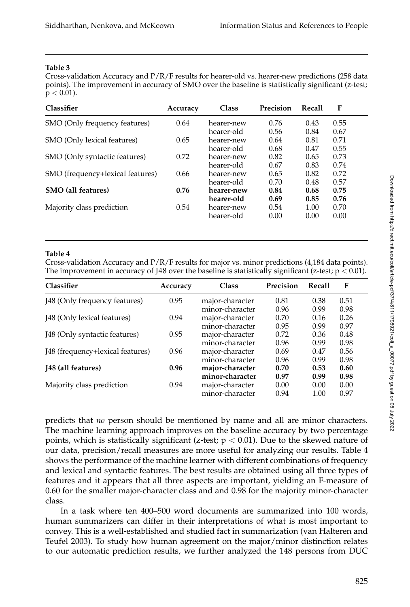Cross-validation Accuracy and  $P/R/F$  results for hearer-old vs. hearer-new predictions (258 data points). The improvement in accuracy of SMO over the baseline is statistically significant (z-test;  $p < 0.01$ ).

| <b>Classifier</b>                | Accuracy | Class      | Precision | <b>Recall</b> | F    |
|----------------------------------|----------|------------|-----------|---------------|------|
| SMO (Only frequency features)    | 0.64     | hearer-new | 0.76      | 0.43          | 0.55 |
|                                  |          | hearer-old | 0.56      | 0.84          | 0.67 |
| SMO (Only lexical features)      | 0.65     | hearer-new | 0.64      | 0.81          | 0.71 |
|                                  |          | hearer-old | 0.68      | 0.47          | 0.55 |
| SMO (Only syntactic features)    | 0.72     | hearer-new | 0.82      | 0.65          | 0.73 |
|                                  |          | hearer-old | 0.67      | 0.83          | 0.74 |
| SMO (frequency+lexical features) | 0.66     | hearer-new | 0.65      | 0.82          | 0.72 |
|                                  |          | hearer-old | 0.70      | 0.48          | 0.57 |
| <b>SMO</b> (all features)        | 0.76     | hearer-new | 0.84      | 0.68          | 0.75 |
|                                  |          | hearer-old | 0.69      | 0.85          | 0.76 |
| Majority class prediction        | 0.54     | hearer-new | 0.54      | 1.00          | 0.70 |
|                                  |          | hearer-old | 0.00      | 0.00          | 0.00 |

#### **Table 4**

Cross-validation Accuracy and  $P/R/F$  results for major vs. minor predictions (4,184 data points). The improvement in accuracy of J48 over the baseline is statistically significant (z-test;  $p < 0.01$ ).

| <b>Classifier</b>                | Accuracy | <b>Class</b>                       | Precision    | <b>Recall</b> | F            |
|----------------------------------|----------|------------------------------------|--------------|---------------|--------------|
| J48 (Only frequency features)    | 0.95     | major-character<br>minor-character | 0.81<br>0.96 | 0.38<br>0.99  | 0.51<br>0.98 |
| J48 (Only lexical features)      | 0.94     | major-character<br>minor-character | 0.70<br>0.95 | 0.16<br>0.99  | 0.26<br>0.97 |
| J48 (Only syntactic features)    | 0.95     | major-character<br>minor-character | 0.72<br>0.96 | 0.36<br>0.99  | 0.48<br>0.98 |
| J48 (frequency+lexical features) | 0.96     | major-character<br>minor-character | 0.69<br>0.96 | 0.47<br>0.99  | 0.56<br>0.98 |
| [48 (all features)               | 0.96     | major-character<br>minor-character | 0.70<br>0.97 | 0.53<br>0.99  | 0.60<br>0.98 |
| Majority class prediction        | 0.94     | major-character<br>minor-character | 0.00<br>0.94 | 0.00<br>1.00  | 0.00<br>0.97 |

predicts that *no* person should be mentioned by name and all are minor characters. The machine learning approach improves on the baseline accuracy by two percentage points, which is statistically significant (z-test;  $p < 0.01$ ). Due to the skewed nature of our data, precision/recall measures are more useful for analyzing our results. Table 4 shows the performance of the machine learner with different combinations of frequency and lexical and syntactic features. The best results are obtained using all three types of features and it appears that all three aspects are important, yielding an F-measure of 0.60 for the smaller major-character class and and 0.98 for the majority minor-character class.

In a task where ten 400–500 word documents are summarized into 100 words, human summarizers can differ in their interpretations of what is most important to convey. This is a well-established and studied fact in summarization (van Halteren and Teufel 2003). To study how human agreement on the major/minor distinction relates to our automatic prediction results, we further analyzed the 148 persons from DUC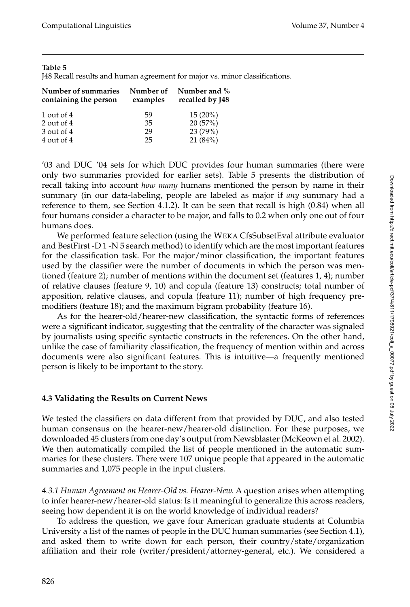| Number of summaries<br>containing the person | Number of<br>examples | Number and %<br>recalled by J48 |  |
|----------------------------------------------|-----------------------|---------------------------------|--|
| 1 out of $4$                                 | 59                    | $15(20\%)$                      |  |
| 2 out of $4$                                 | 35                    | 20(57%)                         |  |
| 3 out of 4                                   | 29                    | 23(79%)                         |  |
| $4$ out of $4$                               | 25                    | 21(84%)                         |  |
|                                              |                       |                                 |  |

J48 Recall results and human agreement for major vs. minor classifications.

'03 and DUC '04 sets for which DUC provides four human summaries (there were only two summaries provided for earlier sets). Table 5 presents the distribution of recall taking into account *how many* humans mentioned the person by name in their summary (in our data-labeling, people are labeled as major if *any* summary had a reference to them, see Section 4.1.2). It can be seen that recall is high (0.84) when all four humans consider a character to be major, and falls to 0.2 when only one out of four humans does.

We performed feature selection (using the WEKA CfsSubsetEval attribute evaluator and BestFirst -D 1 -N 5 search method) to identify which are the most important features for the classification task. For the major/minor classification, the important features used by the classifier were the number of documents in which the person was mentioned (feature 2); number of mentions within the document set (features 1, 4); number of relative clauses (feature 9, 10) and copula (feature 13) constructs; total number of apposition, relative clauses, and copula (feature 11); number of high frequency premodifiers (feature 18); and the maximum bigram probability (feature 16).

As for the hearer-old/hearer-new classification, the syntactic forms of references were a significant indicator, suggesting that the centrality of the character was signaled by journalists using specific syntactic constructs in the references. On the other hand, unlike the case of familiarity classification, the frequency of mention within and across documents were also significant features. This is intuitive—a frequently mentioned person is likely to be important to the story.

### **4.3 Validating the Results on Current News**

We tested the classifiers on data different from that provided by DUC, and also tested human consensus on the hearer-new/hearer-old distinction. For these purposes, we downloaded 45 clusters from one day's output from Newsblaster (McKeown et al. 2002). We then automatically compiled the list of people mentioned in the automatic summaries for these clusters. There were 107 unique people that appeared in the automatic summaries and 1,075 people in the input clusters.

*4.3.1 Human Agreement on Hearer-Old vs. Hearer-New.* A question arises when attempting to infer hearer-new/hearer-old status: Is it meaningful to generalize this across readers, seeing how dependent it is on the world knowledge of individual readers?

To address the question, we gave four American graduate students at Columbia University a list of the names of people in the DUC human summaries (see Section 4.1), and asked them to write down for each person, their country/state/organization affiliation and their role (writer/president/attorney-general, etc.). We considered a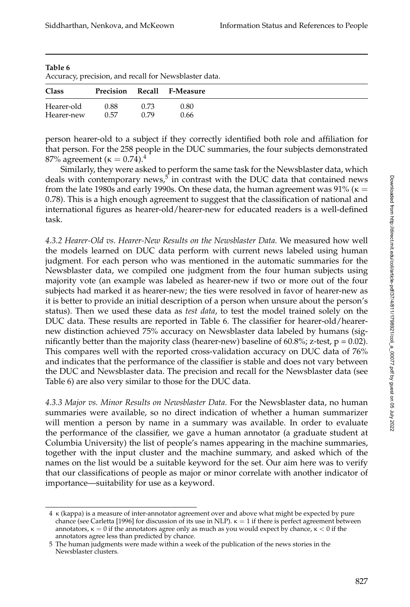|                          | Accuracy, precision, and recall for Newsblaster data. |              |                            |  |  |  |
|--------------------------|-------------------------------------------------------|--------------|----------------------------|--|--|--|
| Class                    |                                                       |              | Precision Recall F-Measure |  |  |  |
| Hearer-old<br>Hearer-new | 0.88<br>0.57                                          | 0.73<br>0.79 | 0.80<br>0.66               |  |  |  |

person hearer-old to a subject if they correctly identified both role and affiliation for that person. For the 258 people in the DUC summaries, the four subjects demonstrated 87% agreement ( $\kappa = 0.74$ ).<sup>4</sup>

Similarly, they were asked to perform the same task for the Newsblaster data, which deals with contemporary news, $5$  in contrast with the DUC data that contained news from the late 1980s and early 1990s. On these data, the human agreement was 91% ( $\kappa$  = 0.78). This is a high enough agreement to suggest that the classification of national and international figures as hearer-old/hearer-new for educated readers is a well-defined task.

*4.3.2 Hearer-Old vs. Hearer-New Results on the Newsblaster Data.* We measured how well the models learned on DUC data perform with current news labeled using human judgment. For each person who was mentioned in the automatic summaries for the Newsblaster data, we compiled one judgment from the four human subjects using majority vote (an example was labeled as hearer-new if two or more out of the four subjects had marked it as hearer-new; the ties were resolved in favor of hearer-new as it is better to provide an initial description of a person when unsure about the person's status). Then we used these data as *test data*, to test the model trained solely on the DUC data. These results are reported in Table 6. The classifier for hearer-old/hearernew distinction achieved 75% accuracy on Newsblaster data labeled by humans (significantly better than the majority class (hearer-new) baseline of  $60.8\%$ ; z-test,  $p = 0.02$ ). This compares well with the reported cross-validation accuracy on DUC data of 76% and indicates that the performance of the classifier is stable and does not vary between the DUC and Newsblaster data. The precision and recall for the Newsblaster data (see Table 6) are also very similar to those for the DUC data.

*4.3.3 Major vs. Minor Results on Newsblaster Data.* For the Newsblaster data, no human summaries were available, so no direct indication of whether a human summarizer will mention a person by name in a summary was available. In order to evaluate the performance of the classifier, we gave a human annotator (a graduate student at Columbia University) the list of people's names appearing in the machine summaries, together with the input cluster and the machine summary, and asked which of the names on the list would be a suitable keyword for the set. Our aim here was to verify that our classifications of people as major or minor correlate with another indicator of importance—suitability for use as a keyword.

<sup>4</sup> κ (kappa) is a measure of inter-annotator agreement over and above what might be expected by pure chance (see Carletta [1996] for discussion of its use in NLP).  $κ = 1$  if there is perfect agreement between annotators,  $κ = 0$  if the annotators agree only as much as you would expect by chance,  $κ < 0$  if the annotators agree less than predicted by chance.

<sup>5</sup> The human judgments were made within a week of the publication of the news stories in the Newsblaster clusters.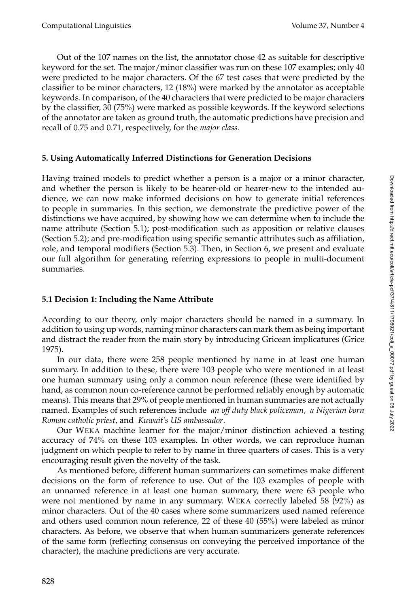Out of the 107 names on the list, the annotator chose 42 as suitable for descriptive keyword for the set. The major/minor classifier was run on these 107 examples; only 40 were predicted to be major characters. Of the 67 test cases that were predicted by the classifier to be minor characters, 12 (18%) were marked by the annotator as acceptable keywords. In comparison, of the 40 characters that were predicted to be major characters by the classifier, 30 (75%) were marked as possible keywords. If the keyword selections of the annotator are taken as ground truth, the automatic predictions have precision and recall of 0.75 and 0.71, respectively, for the *major class*.

# **5. Using Automatically Inferred Distinctions for Generation Decisions**

Having trained models to predict whether a person is a major or a minor character, and whether the person is likely to be hearer-old or hearer-new to the intended audience, we can now make informed decisions on how to generate initial references to people in summaries. In this section, we demonstrate the predictive power of the distinctions we have acquired, by showing how we can determine when to include the name attribute (Section 5.1); post-modification such as apposition or relative clauses (Section 5.2); and pre-modification using specific semantic attributes such as affiliation, role, and temporal modifiers (Section 5.3). Then, in Section 6, we present and evaluate our full algorithm for generating referring expressions to people in multi-document summaries.

# **5.1 Decision 1: Including the Name Attribute**

According to our theory, only major characters should be named in a summary. In addition to using up words, naming minor characters can mark them as being important and distract the reader from the main story by introducing Gricean implicatures (Grice 1975).

In our data, there were 258 people mentioned by name in at least one human summary. In addition to these, there were 103 people who were mentioned in at least one human summary using only a common noun reference (these were identified by hand, as common noun co-reference cannot be performed reliably enough by automatic means). This means that 29% of people mentioned in human summaries are not actually named. Examples of such references include *an off duty black policeman*, *a Nigerian born Roman catholic priest*, and *Kuwait's US ambassador*.

Our WEKA machine learner for the major/minor distinction achieved a testing accuracy of 74% on these 103 examples. In other words, we can reproduce human judgment on which people to refer to by name in three quarters of cases. This is a very encouraging result given the novelty of the task.

As mentioned before, different human summarizers can sometimes make different decisions on the form of reference to use. Out of the 103 examples of people with an unnamed reference in at least one human summary, there were 63 people who were not mentioned by name in any summary. WEKA correctly labeled 58 (92%) as minor characters. Out of the 40 cases where some summarizers used named reference and others used common noun reference, 22 of these 40 (55%) were labeled as minor characters. As before, we observe that when human summarizers generate references of the same form (reflecting consensus on conveying the perceived importance of the character), the machine predictions are very accurate.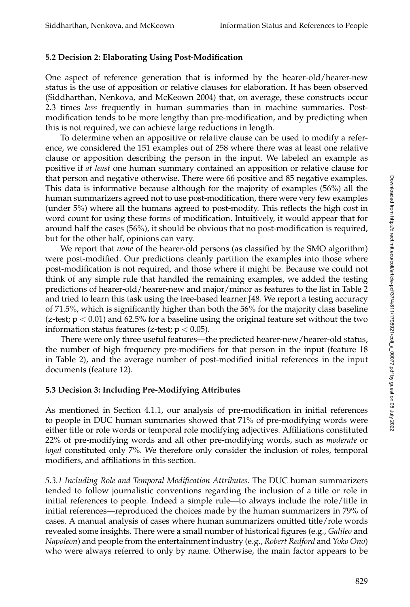### **5.2 Decision 2: Elaborating Using Post-Modification**

One aspect of reference generation that is informed by the hearer-old/hearer-new status is the use of apposition or relative clauses for elaboration. It has been observed (Siddharthan, Nenkova, and McKeown 2004) that, on average, these constructs occur 2.3 times *less* frequently in human summaries than in machine summaries. Postmodification tends to be more lengthy than pre-modification, and by predicting when this is not required, we can achieve large reductions in length.

To determine when an appositive or relative clause can be used to modify a reference, we considered the 151 examples out of 258 where there was at least one relative clause or apposition describing the person in the input. We labeled an example as positive if *at least* one human summary contained an apposition or relative clause for that person and negative otherwise. There were 66 positive and 85 negative examples. This data is informative because although for the majority of examples (56%) all the human summarizers agreed not to use post-modification, there were very few examples (under 5%) where all the humans agreed to post-modify. This reflects the high cost in word count for using these forms of modification. Intuitively, it would appear that for around half the cases (56%), it should be obvious that no post-modification is required, but for the other half, opinions can vary.

We report that *none* of the hearer-old persons (as classified by the SMO algorithm) were post-modified. Our predictions cleanly partition the examples into those where post-modification is not required, and those where it might be. Because we could not think of any simple rule that handled the remaining examples, we added the testing predictions of hearer-old/hearer-new and major/minor as features to the list in Table 2 and tried to learn this task using the tree-based learner J48. We report a testing accuracy of 71.5%, which is significantly higher than both the 56% for the majority class baseline (z-test;  $p < 0.01$ ) and 62.5% for a baseline using the original feature set without the two information status features (z-test;  $p < 0.05$ ).

There were only three useful features—the predicted hearer-new/hearer-old status, the number of high frequency pre-modifiers for that person in the input (feature 18 in Table 2), and the average number of post-modified initial references in the input documents (feature 12).

### **5.3 Decision 3: Including Pre-Modifying Attributes**

As mentioned in Section 4.1.1, our analysis of pre-modification in initial references to people in DUC human summaries showed that 71% of pre-modifying words were either title or role words or temporal role modifying adjectives. Affiliations constituted 22% of pre-modifying words and all other pre-modifying words, such as *moderate* or *loyal* constituted only 7%. We therefore only consider the inclusion of roles, temporal modifiers, and affiliations in this section.

*5.3.1 Including Role and Temporal Modification Attributes.* The DUC human summarizers tended to follow journalistic conventions regarding the inclusion of a title or role in initial references to people. Indeed a simple rule—to always include the role/title in initial references—reproduced the choices made by the human summarizers in 79% of cases. A manual analysis of cases where human summarizers omitted title/role words revealed some insights. There were a small number of historical figures (e.g., *Galileo* and *Napoleon*) and people from the entertainment industry (e.g., *Robert Redford* and *Yoko Ono*) who were always referred to only by name. Otherwise, the main factor appears to be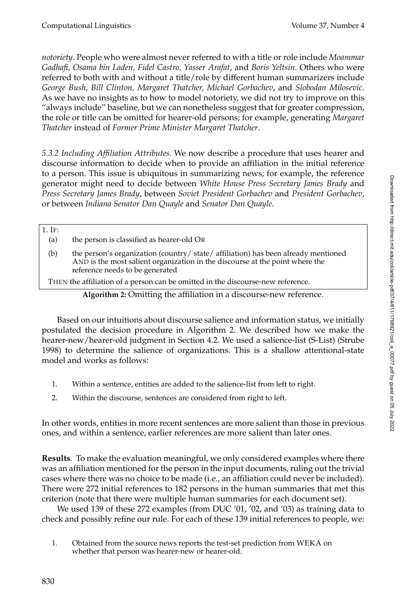*notoriety*. People who were almost never referred to with a title or role include *Moammar Gadhafi, Osama bin Laden, Fidel Castro, Yasser Arafat*, and *Boris Yeltsin*. Others who were referred to both with and without a title/role by different human summarizers include *George Bush, Bill Clinton, Margaret Thatcher, Michael Gorbachev*, and *Slobodan Milosevic*. As we have no insights as to how to model notoriety, we did not try to improve on this "always include" baseline, but we can nonetheless suggest that for greater compression, the role or title can be omitted for hearer-old persons; for example, generating *Margaret Thatcher* instead of *Former Prime Minister Margaret Thatcher*.

*5.3.2 Including Affiliation Attributes.* We now describe a procedure that uses hearer and discourse information to decide when to provide an affiliation in the initial reference to a person. This issue is ubiquitous in summarizing news; for example, the reference generator might need to decide between *White House Press Secretary James Brady* and *Press Secretary James Brady*, between *Soviet President Gorbachev* and *President Gorbachev*, or between *Indiana Senator Dan Quayle* and *Senator Dan Quayle*.

1. IF:

(a) the person is classified as hearer-old OR

(b) the person's organization (country/ state/ affiliation) has been already mentioned AND is the most salient organization in the discourse at the point where the reference needs to be generated

THEN the affiliation of a person can be omitted in the discourse-new reference.

**Algorithm 2:** Omitting the affiliation in a discourse-new reference.

Based on our intuitions about discourse salience and information status, we initially postulated the decision procedure in Algorithm 2. We described how we make the hearer-new/hearer-old judgment in Section 4.2. We used a salience-list (S-List) (Strube 1998) to determine the salience of organizations. This is a shallow attentional-state model and works as follows:

- 1. Within a sentence, entities are added to the salience-list from left to right.
- 2. Within the discourse, sentences are considered from right to left.

In other words, entities in more recent sentences are more salient than those in previous ones, and within a sentence, earlier references are more salient than later ones.

**Results***.* To make the evaluation meaningful, we only considered examples where there was an affiliation mentioned for the person in the input documents, ruling out the trivial cases where there was no choice to be made (i.e., an affiliation could never be included). There were 272 initial references to 182 persons in the human summaries that met this criterion (note that there were multiple human summaries for each document set).

We used 139 of these 272 examples (from DUC '01, '02, and '03) as training data to check and possibly refine our rule. For each of these 139 initial references to people, we:

1. Obtained from the source news reports the test-set prediction from WEKA on whether that person was hearer-new or hearer-old.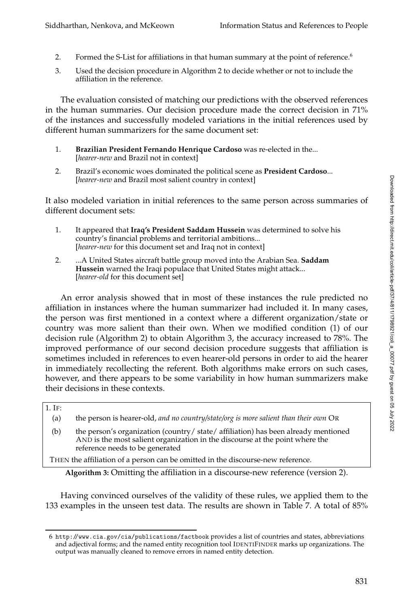- 2. Formed the S-List for affiliations in that human summary at the point of reference.<sup>6</sup>
- 3. Used the decision procedure in Algorithm 2 to decide whether or not to include the affiliation in the reference.

The evaluation consisted of matching our predictions with the observed references in the human summaries. Our decision procedure made the correct decision in 71% of the instances and successfully modeled variations in the initial references used by different human summarizers for the same document set:

- 1. **Brazilian President Fernando Henrique Cardoso** was re-elected in the... [*hearer-new* and Brazil not in context]
- 2. Brazil's economic woes dominated the political scene as **President Cardoso**... [hearer-new and Brazil most salient country in context]

It also modeled variation in initial references to the same person across summaries of different document sets:

- 1. It appeared that **Iraq's President Saddam Hussein** was determined to solve his country's financial problems and territorial ambitions... [*hearer-new* for this document set and Iraq not in context]
- 2. ...A United States aircraft battle group moved into the Arabian Sea. **Saddam Hussein** warned the Iraqi populace that United States might attack... [*hearer-old* for this document set]

An error analysis showed that in most of these instances the rule predicted no affiliation in instances where the human summarizer had included it. In many cases, the person was first mentioned in a context where a different organization/state or country was more salient than their own. When we modified condition (1) of our decision rule (Algorithm 2) to obtain Algorithm 3, the accuracy increased to 78%. The improved performance of our second decision procedure suggests that affiliation is sometimes included in references to even hearer-old persons in order to aid the hearer in immediately recollecting the referent. Both algorithms make errors on such cases, however, and there appears to be some variability in how human summarizers make their decisions in these contexts.

#### 1. IF:

- (a) the person is hearer-old, *and no country/state/org is more salient than their own* OR
- (b) the person's organization (country/ state/ affiliation) has been already mentioned AND is the most salient organization in the discourse at the point where the reference needs to be generated

THEN the affiliation of a person can be omitted in the discourse-new reference.

**Algorithm 3:** Omitting the affiliation in a discourse-new reference (version 2).

Having convinced ourselves of the validity of these rules, we applied them to the 133 examples in the unseen test data. The results are shown in Table 7. A total of 85%

<sup>6</sup> http://www.cia.gov/cia/publications/factbook provides a list of countries and states, abbreviations and adjectival forms; and the named entity recognition tool IDENTIFINDER marks up organizations. The output was manually cleaned to remove errors in named entity detection.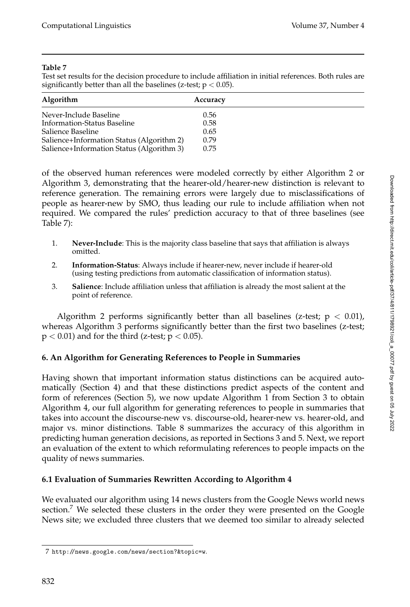Test set results for the decision procedure to include affiliation in initial references. Both rules are significantly better than all the baselines (z-test;  $p < 0.05$ ).

| <b>Algorithm</b>                          | Accuracy |  |
|-------------------------------------------|----------|--|
| Never-Include Baseline                    | 0.56     |  |
| Information-Status Baseline               | 0.58     |  |
| Salience Baseline                         | 0.65     |  |
| Salience+Information Status (Algorithm 2) | 0.79     |  |
| Salience+Information Status (Algorithm 3) | 0.75     |  |

of the observed human references were modeled correctly by either Algorithm 2 or Algorithm 3, demonstrating that the hearer-old/hearer-new distinction is relevant to reference generation. The remaining errors were largely due to misclassifications of people as hearer-new by SMO, thus leading our rule to include affiliation when not required. We compared the rules' prediction accuracy to that of three baselines (see Table 7):

- 1. **Never-Include**: This is the majority class baseline that says that affiliation is always omitted.
- 2. **Information-Status**: Always include if hearer-new, never include if hearer-old (using testing predictions from automatic classification of information status).
- 3. **Salience**: Include affiliation unless that affiliation is already the most salient at the point of reference.

Algorithm 2 performs significantly better than all baselines (z-test;  $p < 0.01$ ), whereas Algorithm 3 performs significantly better than the first two baselines (z-test;  $p < 0.01$ ) and for the third (z-test;  $p < 0.05$ ).

# **6. An Algorithm for Generating References to People in Summaries**

Having shown that important information status distinctions can be acquired automatically (Section 4) and that these distinctions predict aspects of the content and form of references (Section 5), we now update Algorithm 1 from Section 3 to obtain Algorithm 4, our full algorithm for generating references to people in summaries that takes into account the discourse-new vs. discourse-old, hearer-new vs. hearer-old, and major vs. minor distinctions. Table 8 summarizes the accuracy of this algorithm in predicting human generation decisions, as reported in Sections 3 and 5. Next, we report an evaluation of the extent to which reformulating references to people impacts on the quality of news summaries.

# **6.1 Evaluation of Summaries Rewritten According to Algorithm 4**

We evaluated our algorithm using 14 news clusters from the Google News world news section.<sup>7</sup> We selected these clusters in the order they were presented on the Google News site; we excluded three clusters that we deemed too similar to already selected

<sup>7</sup> http://news.google.com/news/section?&topic=w.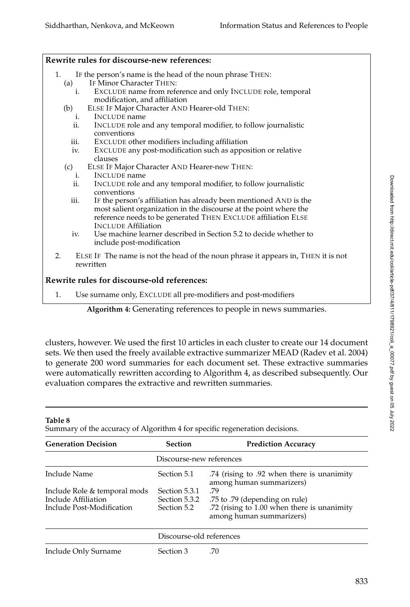|      | Rewrite rules for discourse-new references:                                                    |
|------|------------------------------------------------------------------------------------------------|
| 1.   | IF the person's name is the head of the noun phrase THEN:                                      |
| (a)  | IF Minor Character THEN:                                                                       |
| i.   | EXCLUDE name from reference and only INCLUDE role, temporal<br>modification, and affiliation   |
| (b)  | ELSE IF Major Character AND Hearer-old THEN:                                                   |
| i.   | <b>INCLUDE</b> name                                                                            |
| ii.  | INCLUDE role and any temporal modifier, to follow journalistic<br>conventions                  |
| iii. | EXCLUDE other modifiers including affiliation                                                  |
| iv.  | EXCLUDE any post-modification such as apposition or relative                                   |
|      | clauses                                                                                        |
| (c)  | ELSE IF Major Character AND Hearer-new THEN:                                                   |
| i.   | <b>INCLUDE</b> name                                                                            |
| ii.  | INCLUDE role and any temporal modifier, to follow journalistic<br>conventions                  |
| iii. | IF the person's affiliation has already been mentioned AND is the                              |
|      | most salient organization in the discourse at the point where the                              |
|      | reference needs to be generated THEN EXCLUDE affiliation ELSE<br><b>INCLUDE Affiliation</b>    |
|      |                                                                                                |
| iv.  | Use machine learner described in Section 5.2 to decide whether to<br>include post-modification |
| 2.   | ELSE IF The name is not the head of the noun phrase it appears in, THEN it is not              |
|      | rewritten                                                                                      |
|      | Rewrite rules for discourse-old references:                                                    |
| 1.   | Use surname only, EXCLUDE all pre-modifiers and post-modifiers                                 |

**Algorithm 4:** Generating references to people in news summaries.

clusters, however. We used the first 10 articles in each cluster to create our 14 document sets. We then used the freely available extractive summarizer MEAD (Radev et al. 2004) to generate 200 word summaries for each document set. These extractive summaries were automatically rewritten according to Algorithm 4, as described subsequently. Our evaluation compares the extractive and rewritten summaries.

#### **Table 8**

Summary of the accuracy of Algorithm 4 for specific regeneration decisions.

| <b>Generation Decision</b>   | <b>Section</b>           | <b>Prediction Accuracy</b>                                              |
|------------------------------|--------------------------|-------------------------------------------------------------------------|
|                              | Discourse-new references |                                                                         |
| Include Name                 | Section 5.1              | .74 (rising to .92 when there is unanimity<br>among human summarizers)  |
| Include Role & temporal mods | Section 5.3.1            | .79                                                                     |
| Include Affiliation          | Section 5.3.2            | .75 to .79 (depending on rule)                                          |
| Include Post-Modification    | Section 5.2              | .72 (rising to 1.00 when there is unanimity<br>among human summarizers) |
|                              | Discourse-old references |                                                                         |
| Include Only Surname         | Section 3                | .70                                                                     |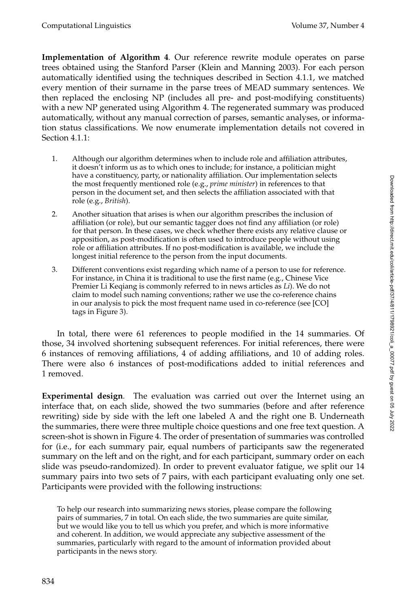**Implementation of Algorithm 4***.* Our reference rewrite module operates on parse trees obtained using the Stanford Parser (Klein and Manning 2003). For each person automatically identified using the techniques described in Section 4.1.1, we matched every mention of their surname in the parse trees of MEAD summary sentences. We then replaced the enclosing NP (includes all pre- and post-modifying constituents) with a new NP generated using Algorithm 4. The regenerated summary was produced automatically, without any manual correction of parses, semantic analyses, or information status classifications. We now enumerate implementation details not covered in Section 4.1.1:

- 1. Although our algorithm determines when to include role and affiliation attributes, it doesn't inform us as to which ones to include; for instance, a politician might have a constituency, party, or nationality affiliation. Our implementation selects the most frequently mentioned role (e.g., *prime minister*) in references to that person in the document set, and then selects the affiliation associated with that role (e.g., *British*).
- 2. Another situation that arises is when our algorithm prescribes the inclusion of affiliation (or role), but our semantic tagger does not find any affiliation (or role) for that person. In these cases, we check whether there exists any relative clause or apposition, as post-modification is often used to introduce people without using role or affiliation attributes. If no post-modification is available, we include the longest initial reference to the person from the input documents.
- 3. Different conventions exist regarding which name of a person to use for reference. For instance, in China it is traditional to use the first name (e.g., Chinese Vice Premier Li Keqiang is commonly referred to in news articles as *Li*). We do not claim to model such naming conventions; rather we use the co-reference chains in our analysis to pick the most frequent name used in co-reference (see [CO] tags in Figure 3).

In total, there were 61 references to people modified in the 14 summaries. Of those, 34 involved shortening subsequent references. For initial references, there were 6 instances of removing affiliations, 4 of adding affiliations, and 10 of adding roles. There were also 6 instances of post-modifications added to initial references and 1 removed.

**Experimental design***.* The evaluation was carried out over the Internet using an interface that, on each slide, showed the two summaries (before and after reference rewriting) side by side with the left one labeled A and the right one B. Underneath the summaries, there were three multiple choice questions and one free text question. A screen-shot is shown in Figure 4. The order of presentation of summaries was controlled for (i.e., for each summary pair, equal numbers of participants saw the regenerated summary on the left and on the right, and for each participant, summary order on each slide was pseudo-randomized). In order to prevent evaluator fatigue, we split our 14 summary pairs into two sets of 7 pairs, with each participant evaluating only one set. Participants were provided with the following instructions:

To help our research into summarizing news stories, please compare the following pairs of summaries, 7 in total. On each slide, the two summaries are quite similar, but we would like you to tell us which you prefer, and which is more informative and coherent. In addition, we would appreciate any subjective assessment of the summaries, particularly with regard to the amount of information provided about participants in the news story.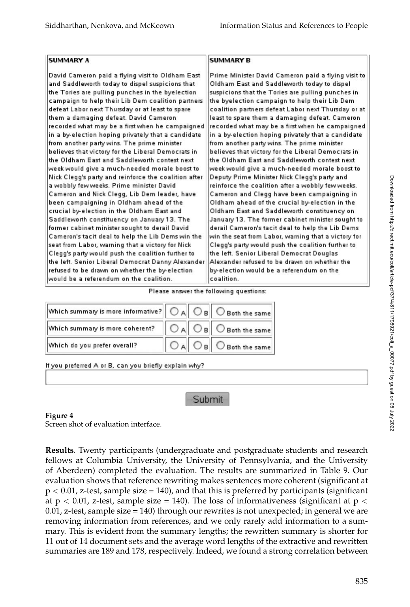| <b>SUMMARY A</b>                                     | <b>SUMMARY B</b>                                    |
|------------------------------------------------------|-----------------------------------------------------|
| David Cameron paid a flying visit to Oldham East     | Prime Minister David Cameron paid a flying visit to |
| and Saddleworth today to dispel suspicions that      | Oldham East and Saddleworth today to dispel         |
| the Tories are pulling punches in the byelection     | suspicions that the Tories are pulling punches in   |
| campaign to help their Lib Dem coalition partners    | the byelection campaign to help their Lib Dem       |
| defeat Labor next Thursday or at least to spare      | coalition partners defeat Labor next Thursday or at |
| them a damaging defeat. David Cameron                | least to spare them a damaging defeat. Cameron      |
| recorded what may be a first when he campaigned      | recorded what may be a first when he campaigned     |
| in a by-election hoping privately that a candidate   | in a by-election hoping privately that a candidate  |
| from another party wins. The prime minister          | from another party wins. The prime minister         |
| believes that victory for the Liberal Democrats in   | believes that victory for the Liberal Democrats in  |
| the Oldham East and Saddleworth contest next         | the Oldham East and Saddleworth contest next        |
| week would give a much-needed morale boost to        | week would give a much-needed morale boost to       |
| Nick Clegg's party and reinforce the coalition after | Deputy Prime Minister Nick Clegg's party and        |
| a wobbly few weeks. Prime minister David             | reinforce the coalition after a wobbly few weeks.   |
| Cameron and Nick Clegg, Lib Dem leader, have         | Cameron and Clegg have been campaigning in          |
| been campaigning in Oldham ahead of the              | Oldham ahead of the crucial by-election in the      |
| crucial by election in the Oldham East and           | Oldham East and Saddleworth constituency on         |
| Saddleworth constituency on January 13. The          | January 13. The former cabinet minister sought to   |
| former cabinet minister sought to derail David       | derail Cameron's tacit deal to help the Lib Dems    |
| Cameron's tacit deal to help the Lib Dems win the    | win the seat from Labor, warning that a victory for |
| seat from Labor, warning that a victory for Nick     | Clegg's party would push the coalition further to   |
| Clegg's party would push the coalition further to    | the left. Senior Liberal Democrat Douglas           |
| the left. Senior Liberal Democrat Danny Alexander    | Alexander refused to be drawn on whether the        |
| refused to be drawn on whether the by-election       | by-election would be a referendum on the            |
| would be a referendum on the coalition.              | coalition.                                          |

Please answer the following questions:



If you preferred A or B, can you briefly explain why?

Submit

#### **Figure 4**

Screen shot of evaluation interface.

**Results***.* Twenty participants (undergraduate and postgraduate students and research fellows at Columbia University, the University of Pennsylvania, and the University of Aberdeen) completed the evaluation. The results are summarized in Table 9. Our evaluation shows that reference rewriting makes sentences more coherent (significant at  $p < 0.01$ , z-test, sample size = 140), and that this is preferred by participants (significant at  $p < 0.01$ , z-test, sample size = 140). The loss of informativeness (significant at  $p <$  $0.01$ , z-test, sample size = 140) through our rewrites is not unexpected; in general we are removing information from references, and we only rarely add information to a summary. This is evident from the summary lengths; the rewritten summary is shorter for 11 out of 14 document sets and the average word lengths of the extractive and rewritten summaries are 189 and 178, respectively. Indeed, we found a strong correlation between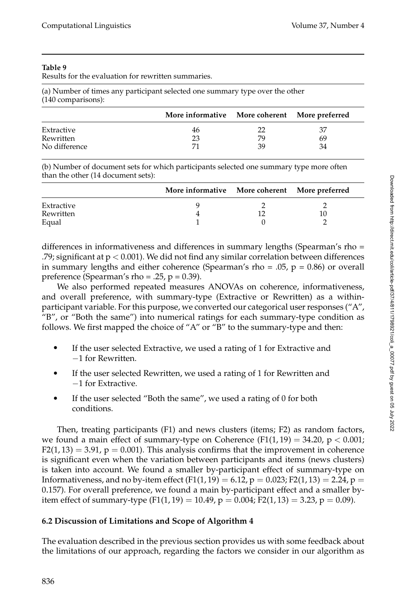Results for the evaluation for rewritten summaries.

(a) Number of times any participant selected one summary type over the other (140 comparisons):

|               | More informative More coherent More preferred |    |    |
|---------------|-----------------------------------------------|----|----|
| Extractive    | 46                                            | フフ | 37 |
| Rewritten     | 23                                            | 79 | 69 |
| No difference |                                               | 39 | 34 |

(b) Number of document sets for which participants selected one summary type more often than the other (14 document sets):

|            | More informative More coherent More preferred |  |
|------------|-----------------------------------------------|--|
| Extractive |                                               |  |
| Rewritten  |                                               |  |
| Equal      |                                               |  |

differences in informativeness and differences in summary lengths (Spearman's rho = .79; significant at  $p < 0.001$ ). We did not find any similar correlation between differences in summary lengths and either coherence (Spearman's rho = .05,  $p = 0.86$ ) or overall preference (Spearman's rho = .25,  $p = 0.39$ ).

We also performed repeated measures ANOVAs on coherence, informativeness, and overall preference, with summary-type (Extractive or Rewritten) as a withinparticipant variable. For this purpose, we converted our categorical user responses ("A", "B", or "Both the same") into numerical ratings for each summary-type condition as follows. We first mapped the choice of "A" or "B" to the summary-type and then:

- - If the user selected Extractive, we used a rating of 1 for Extractive and −1 for Rewritten.
- - If the user selected Rewritten, we used a rating of 1 for Rewritten and −1 for Extractive.
- - If the user selected "Both the same", we used a rating of 0 for both conditions.

Then, treating participants (F1) and news clusters (items; F2) as random factors, we found a main effect of summary-type on Coherence  $(F1(1, 19) = 34.20, p < 0.001;$  $F2(1, 13) = 3.91$ ,  $p = 0.001$ ). This analysis confirms that the improvement in coherence is significant even when the variation between participants and items (news clusters) is taken into account. We found a smaller by-participant effect of summary-type on Informativeness, and no by-item effect  $(F1(1, 19) = 6.12, p = 0.023; F2(1, 13) = 2.24, p =$ 0.157). For overall preference, we found a main by-participant effect and a smaller byitem effect of summary-type  $(F1(1, 19) = 10.49, p = 0.004; F2(1, 13) = 3.23, p = 0.09)$ .

# **6.2 Discussion of Limitations and Scope of Algorithm 4**

The evaluation described in the previous section provides us with some feedback about the limitations of our approach, regarding the factors we consider in our algorithm as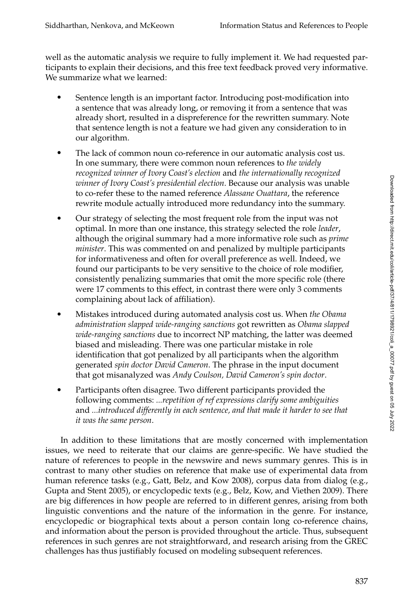well as the automatic analysis we require to fully implement it. We had requested participants to explain their decisions, and this free text feedback proved very informative. We summarize what we learned:

- - Sentence length is an important factor. Introducing post-modification into a sentence that was already long, or removing it from a sentence that was already short, resulted in a dispreference for the rewritten summary. Note that sentence length is not a feature we had given any consideration to in our algorithm.
- - The lack of common noun co-reference in our automatic analysis cost us. In one summary, there were common noun references to *the widely recognized winner of Ivory Coast's election* and *the internationally recognized winner of Ivory Coast's presidential election*. Because our analysis was unable to co-refer these to the named reference *Alassane Ouattara*, the reference rewrite module actually introduced more redundancy into the summary.
- - Our strategy of selecting the most frequent role from the input was not optimal. In more than one instance, this strategy selected the role *leader*, although the original summary had a more informative role such as *prime minister*. This was commented on and penalized by multiple participants for informativeness and often for overall preference as well. Indeed, we found our participants to be very sensitive to the choice of role modifier, consistently penalizing summaries that omit the more specific role (there were 17 comments to this effect, in contrast there were only 3 comments complaining about lack of affiliation).
- - Mistakes introduced during automated analysis cost us. When *the Obama administration slapped wide-ranging sanctions* got rewritten as *Obama slapped wide-ranging sanctions* due to incorrect NP matching, the latter was deemed biased and misleading. There was one particular mistake in role identification that got penalized by all participants when the algorithm generated *spin doctor David Cameron*. The phrase in the input document that got misanalyzed was *Andy Coulson, David Cameron's spin doctor*.
- - Participants often disagree. Two different participants provided the following comments: *...repetition of ref expressions clarify some ambiguities* and *...introduced differently in each sentence, and that made it harder to see that it was the same person*.

In addition to these limitations that are mostly concerned with implementation issues, we need to reiterate that our claims are genre-specific. We have studied the nature of references to people in the newswire and news summary genres. This is in contrast to many other studies on reference that make use of experimental data from human reference tasks (e.g., Gatt, Belz, and Kow 2008), corpus data from dialog (e.g., Gupta and Stent 2005), or encyclopedic texts (e.g., Belz, Kow, and Viethen 2009). There are big differences in how people are referred to in different genres, arising from both linguistic conventions and the nature of the information in the genre. For instance, encyclopedic or biographical texts about a person contain long co-reference chains, and information about the person is provided throughout the article. Thus, subsequent references in such genres are not straightforward, and research arising from the GREC challenges has thus justifiably focused on modeling subsequent references.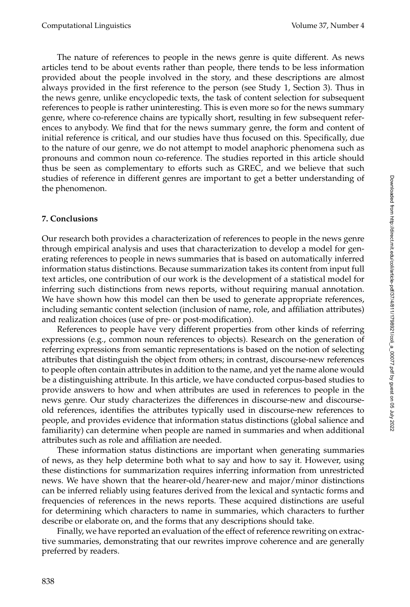The nature of references to people in the news genre is quite different. As news articles tend to be about events rather than people, there tends to be less information provided about the people involved in the story, and these descriptions are almost always provided in the first reference to the person (see Study 1, Section 3). Thus in the news genre, unlike encyclopedic texts, the task of content selection for subsequent references to people is rather uninteresting. This is even more so for the news summary genre, where co-reference chains are typically short, resulting in few subsequent references to anybody. We find that for the news summary genre, the form and content of initial reference is critical, and our studies have thus focused on this. Specifically, due to the nature of our genre, we do not attempt to model anaphoric phenomena such as pronouns and common noun co-reference. The studies reported in this article should thus be seen as complementary to efforts such as GREC, and we believe that such studies of reference in different genres are important to get a better understanding of the phenomenon.

### **7. Conclusions**

Our research both provides a characterization of references to people in the news genre through empirical analysis and uses that characterization to develop a model for generating references to people in news summaries that is based on automatically inferred information status distinctions. Because summarization takes its content from input full text articles, one contribution of our work is the development of a statistical model for inferring such distinctions from news reports, without requiring manual annotation. We have shown how this model can then be used to generate appropriate references, including semantic content selection (inclusion of name, role, and affiliation attributes) and realization choices (use of pre- or post-modification).

References to people have very different properties from other kinds of referring expressions (e.g., common noun references to objects). Research on the generation of referring expressions from semantic representations is based on the notion of selecting attributes that distinguish the object from others; in contrast, discourse-new references to people often contain attributes in addition to the name, and yet the name alone would be a distinguishing attribute. In this article, we have conducted corpus-based studies to provide answers to how and when attributes are used in references to people in the news genre. Our study characterizes the differences in discourse-new and discourseold references, identifies the attributes typically used in discourse-new references to people, and provides evidence that information status distinctions (global salience and familiarity) can determine when people are named in summaries and when additional attributes such as role and affiliation are needed.

These information status distinctions are important when generating summaries of news, as they help determine both what to say and how to say it. However, using these distinctions for summarization requires inferring information from unrestricted news. We have shown that the hearer-old/hearer-new and major/minor distinctions can be inferred reliably using features derived from the lexical and syntactic forms and frequencies of references in the news reports. These acquired distinctions are useful for determining which characters to name in summaries, which characters to further describe or elaborate on, and the forms that any descriptions should take.

Finally, we have reported an evaluation of the effect of reference rewriting on extractive summaries, demonstrating that our rewrites improve coherence and are generally preferred by readers.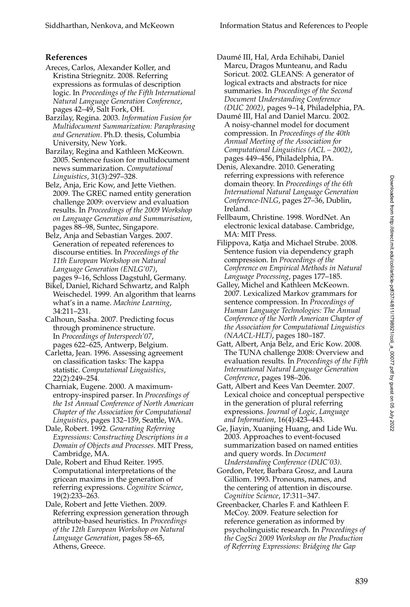# **References**

- Areces, Carlos, Alexander Koller, and Kristina Striegnitz. 2008. Referring expressions as formulas of description logic. In *Proceedings of the Fifth International Natural Language Generation Conference*, pages 42–49, Salt Fork, OH.
- Barzilay, Regina. 2003. *Information Fusion for Multidocument Summarization: Paraphrasing and Generation*. Ph.D. thesis, Columbia University, New York.
- Barzilay, Regina and Kathleen McKeown. 2005. Sentence fusion for multidocument news summarization. *Computational Linguistics*, 31(3):297–328.
- Belz, Anja, Eric Kow, and Jette Viethen. 2009. The GREC named entity generation challenge 2009: overview and evaluation results. In *Proceedings of the 2009 Workshop on Language Generation and Summarisation*, pages 88–98, Suntec, Singapore.
- Belz, Anja and Sebastian Varges. 2007. Generation of repeated references to discourse entities. In *Proceedings of the 11th European Workshop on Natural Language Generation (ENLG'07)*, pages 9–16, Schloss Dagstuhl, Germany.
- Bikel, Daniel, Richard Schwartz, and Ralph Weischedel. 1999. An algorithm that learns what's in a name. *Machine Learning*, 34:211–231.
- Calhoun, Sasha. 2007. Predicting focus through prominence structure. In *Proceedings of Interspeech'07*, pages 622–625, Antwerp, Belgium.
- Carletta, Jean. 1996. Assessing agreement on classification tasks: The kappa statistic. *Computational Linguistics*, 22(2):249–254.
- Charniak, Eugene. 2000. A maximumentropy-inspired parser. In *Proceedings of the 1st Annual Conference of North American Chapter of the Association for Computational Linguistics*, pages 132–139, Seattle, WA.
- Dale, Robert. 1992. *Generating Referring Expressions: Constructing Descriptions in a Domain of Objects and Processes*. MIT Press, Cambridge, MA.
- Dale, Robert and Ehud Reiter. 1995. Computational interpretations of the gricean maxims in the generation of referring expressions. *Cognitive Science*, 19(2):233–263.
- Dale, Robert and Jette Viethen. 2009. Referring expression generation through attribute-based heuristics. In *Proceedings of the 12th European Workshop on Natural Language Generation*, pages 58–65, Athens, Greece.
- Daumé III, Hal, Arda Echihabi, Daniel Marcu, Dragos Munteanu, and Radu Soricut. 2002. GLEANS: A generator of logical extracts and abstracts for nice summaries. In *Proceedings of the Second Document Understanding Conference (DUC 2002)*, pages 9–14, Philadelphia, PA.
- Daumé III, Hal and Daniel Marcu. 2002. A noisy-channel model for document compression. In *Proceedings of the 40th Annual Meeting of the Association for Computational Linguistics (ACL – 2002)*, pages 449–456, Philadelphia, PA.
- Denis, Alexandre. 2010. Generating referring expressions with reference domain theory. In *Proceedings of the 6th International Natural Language Generation Conference-INLG*, pages 27–36, Dublin, Ireland.
- Fellbaum, Christine. 1998. WordNet. An electronic lexical database. Cambridge, MA: MIT Press.
- Filippova, Katja and Michael Strube. 2008. Sentence fusion via dependency graph compression. In *Proceedings of the Conference on Empirical Methods in Natural Language Processing*, pages 177–185.
- Galley, Michel and Kathleen McKeown. 2007. Lexicalized Markov grammars for sentence compression. In *Proceedings of Human Language Technologies: The Annual Conference of the North American Chapter of the Association for Computational Linguistics (NAACL-HLT)*, pages 180–187.
- Gatt, Albert, Anja Belz, and Eric Kow. 2008. The TUNA challenge 2008: Overview and evaluation results. In *Proceedings of the Fifth International Natural Language Generation Conference*, pages 198–206.
- Gatt, Albert and Kees Van Deemter. 2007. Lexical choice and conceptual perspective in the generation of plural referring expressions. *Journal of Logic, Language and Information*, 16(4):423–443.
- Ge, Jiayin, Xuanjing Huang, and Lide Wu. 2003. Approaches to event-focused summarization based on named entities and query words. In *Document Understanding Conference (DUC'03)*.
- Gordon, Peter, Barbara Grosz, and Laura Gilliom. 1993. Pronouns, names, and the centering of attention in discourse. *Cognitive Science*, 17:311–347.
- Greenbacker, Charles F. and Kathleen F. McCoy. 2009. Feature selection for reference generation as informed by psycholinguistic research. In *Proceedings of the CogSci 2009 Workshop on the Production of Referring Expressions: Bridging the Gap*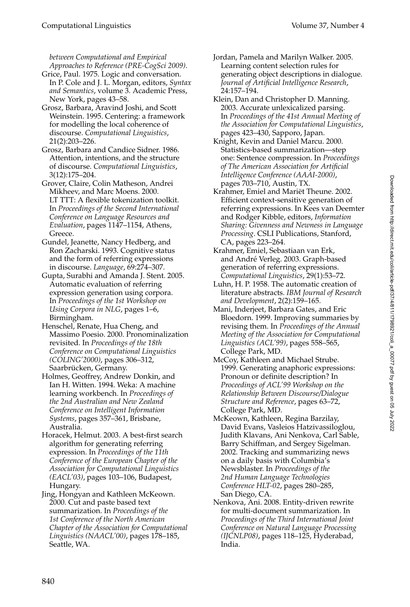*between Computational and Empirical Approaches to Reference (PRE-CogSci 2009)*.

- Grice, Paul. 1975. Logic and conversation. In P. Cole and J. L. Morgan, editors, *Syntax and Semantics*, volume 3. Academic Press, New York, pages 43–58.
- Grosz, Barbara, Aravind Joshi, and Scott Weinstein. 1995. Centering: a framework for modelling the local coherence of discourse. *Computational Linguistics*, 21(2):203–226.
- Grosz, Barbara and Candice Sidner. 1986. Attention, intentions, and the structure of discourse. *Computational Linguistics*, 3(12):175–204.
- Grover, Claire, Colin Matheson, Andrei Mikheev, and Marc Moens. 2000. LT TTT: A flexible tokenization toolkit. In *Proceedings of the Second International Conference on Language Resources and Evaluation*, pages 1147–1154, Athens, Greece.
- Gundel, Jeanette, Nancy Hedberg, and Ron Zacharski. 1993. Cognitive status and the form of referring expressions in discourse. *Language*, 69:274–307.

Gupta, Surabhi and Amanda J. Stent. 2005. Automatic evaluation of referring expression generation using corpora. In *Proceedings of the 1st Workshop on Using Corpora in NLG*, pages 1–6, Birmingham.

- Henschel, Renate, Hua Cheng, and Massimo Poesio. 2000. Pronominalization revisited. In *Proceedings of the 18th Conference on Computational Linguistics (COLING'2000)*, pages 306–312, Saarbrücken, Germany.
- Holmes, Geoffrey, Andrew Donkin, and Ian H. Witten. 1994. Weka: A machine learning workbench. In *Proceedings of the 2nd Australian and New Zealand Conference on Intelligent Information Systems*, pages 357–361, Brisbane, Australia.
- Horacek, Helmut. 2003. A best-first search algorithm for generating referring expression. In *Proceedings of the 11th Conference of the European Chapter of the Association for Computational Linguistics (EACL'03)*, pages 103–106, Budapest, Hungary.

Jing, Hongyan and Kathleen McKeown. 2000. Cut and paste based text summarization. In *Proceedings of the 1st Conference of the North American Chapter of the Association for Computational Linguistics (NAACL'00)*, pages 178–185, Seattle, WA.

- Jordan, Pamela and Marilyn Walker. 2005. Learning content selection rules for generating object descriptions in dialogue. *Journal of Artificial Intelligence Research*, 24:157–194.
- Klein, Dan and Christopher D. Manning. 2003. Accurate unlexicalized parsing. In *Proceedings of the 41st Annual Meeting of the Association for Computational Linguistics*, pages 423–430, Sapporo, Japan.
- Knight, Kevin and Daniel Marcu. 2000. Statistics-based summarization—step one: Sentence compression. In *Proceedings of The American Association for Artificial Intelligence Conference (AAAI-2000)*, pages 703–710, Austin, TX.
- Krahmer, Emiel and Mariët Theune. 2002. Efficient context-sensitive generation of referring expressions. In Kees van Deemter and Rodger Kibble, editors, *Information Sharing: Givenness and Newness in Language Processing*. CSLI Publications, Stanford, CA, pages 223–264.
- Krahmer, Emiel, Sebastiaan van Erk, and André Verleg. 2003. Graph-based generation of referring expressions. *Computational Linguistics*, 29(1):53–72.
- Luhn, H. P. 1958. The automatic creation of literature abstracts. *IBM Journal of Research and Development*, 2(2):159–165.
- Mani, Inderjeet, Barbara Gates, and Eric Bloedorn. 1999. Improving summaries by revising them. In *Proceedings of the Annual Meeting of the Association for Computational Linguistics (ACL'99)*, pages 558–565, College Park, MD.
- McCoy, Kathleen and Michael Strube. 1999. Generating anaphoric expressions: Pronoun or definite description? In *Proceedings of ACL'99 Workshop on the Relationship Between Discourse/Dialogue Structure and Reference*, pages 63–72, College Park, MD.
- McKeown, Kathleen, Regina Barzilay, David Evans, Vasleios Hatzivassiloglou, Judith Klavans, Ani Nenkova, Carl Sable, Barry Schiffman, and Sergey Sigelman. 2002. Tracking and summarizing news on a daily basis with Columbia's Newsblaster. In *Proceedings of the 2nd Human Language Technologies Conference HLT-02*, pages 280–285, San Diego, CA.
- Nenkova, Ani. 2008. Entity-driven rewrite for multi-document summarization. In *Proceedings of the Third International Joint Conference on Natural Language Processing (IJCNLP08)*, pages 118–125, Hyderabad, India.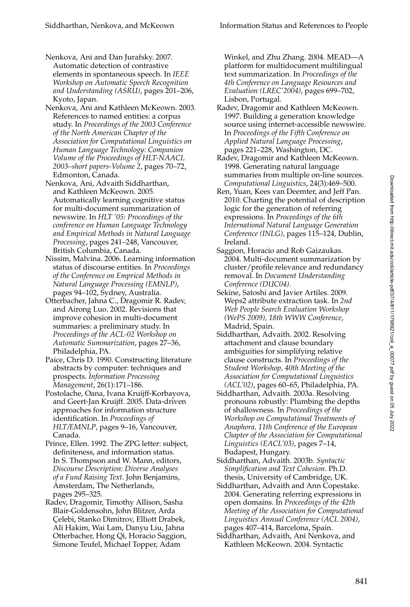- Nenkova, Ani and Dan Jurafsky. 2007. Automatic detection of contrastive elements in spontaneous speech. In *IEEE Workshop on Automatic Speech Recognition and Understanding (ASRU)*, pages 201–206, Kyoto, Japan.
- Nenkova, Ani and Kathleen McKeown. 2003. References to named entities: a corpus study. In *Proceedings of the 2003 Conference of the North American Chapter of the Association for Computational Linguistics on Human Language Technology: Companion Volume of the Proceedings of HLT-NAACL 2003–short papers-Volume 2*, pages 70–72, Edmonton, Canada.
- Nenkova, Ani, Advaith Siddharthan, and Kathleen McKeown. 2005. Automatically learning cognitive status for multi-document summarization of newswire. In *HLT '05: Proceedings of the conference on Human Language Technology and Empirical Methods in Natural Language Processing*, pages 241–248, Vancouver, British Columbia, Canada.
- Nissim, Malvina. 2006. Learning information status of discourse entities. In *Proceedings of the Conference on Emprical Methods in Natural Language Processing (EMNLP)*, pages 94–102, Sydney, Australia.
- Otterbacher, Jahna C., Dragomir R. Radev, and Airong Luo. 2002. Revisions that improve cohesion in multi-document summaries: a preliminary study. In *Proceedings of the ACL-02 Workshop on Automatic Summarization*, pages 27–36, Philadelphia, PA.
- Paice, Chris D. 1990. Constructing literature abstracts by computer: techniques and prospects. *Information Processing Management*, 26(1):171–186.
- Postolache, Oana, Ivana Kruijff-Korbayova, and Geert-Jan Kruijff. 2005. Data-driven approaches for information structure identification. In *Proceedings of HLT/EMNLP*, pages 9–16, Vancouver, Canada.
- Prince, Ellen. 1992. The ZPG letter: subject, definiteness, and information status. In S. Thompson and W. Mann, editors, *Discourse Description: Diverse Analyses of a Fund Raising Text*. John Benjamins, Amsterdam, The Netherlands, pages 295–325.
- Radev, Dragomir, Timothy Allison, Sasha Blair-Goldensohn, John Blitzer, Arda Çelebi, Stanko Dimitrov, Elliott Drabek, Ali Hakim, Wai Lam, Danyu Liu, Jahna Otterbacher, Hong Qi, Horacio Saggion, Simone Teufel, Michael Topper, Adam

Winkel, and Zhu Zhang. 2004. MEAD—A platform for multidocument multilingual text summarization. In *Proceedings of the 4th Conference on Language Resources and Evaluation (LREC'2004)*, pages 699–702, Lisbon, Portugal.

- Radev, Dragomir and Kathleen McKeown. 1997. Building a generation knowledge source using internet-accessible newswire. In *Proceedings of the Fifth Conference on Applied Natural Language Processing*, pages 221–228, Washington, DC.
- Radev, Dragomir and Kathleen McKeown. 1998. Generating natural language summaries from multiple on-line sources. *Computational Linguistics*, 24(3):469–500.
- Ren, Yuan, Kees van Deemter, and Jeff Pan. 2010. Charting the potential of description logic for the generation of referring expressions. In *Proceedings of the 6th International Natural Language Generation Conference (INLG)*, pages 115–124, Dublin, Ireland.
- Saggion, Horacio and Rob Gaizaukas. 2004. Multi-document summarization by cluster/profile relevance and redundancy removal. In *Document Understanding Conference (DUC04)*.
- Sekine, Satoshi and Javier Artiles. 2009. Weps2 attribute extraction task. In *2nd Web People Search Evaluation Workshop (WePS 2009), 18th WWW Conference*, Madrid, Spain.
- Siddharthan, Advaith. 2002. Resolving attachment and clause boundary ambiguities for simplifying relative clause constructs. In *Proceedings of the Student Workshop, 40th Meeting of the Association for Computational Linguistics (ACL'02)*, pages 60–65, Philadelphia, PA.
- Siddharthan, Advaith. 2003a. Resolving pronouns robustly: Plumbing the depths of shallowness. In *Proceedings of the Workshop on Computational Treatments of Anaphora, 11th Conference of the European Chapter of the Association for Computational Linguistics (EACL'03)*, pages 7–14, Budapest, Hungary.
- Siddharthan, Advaith. 2003b. *Syntactic Simplification and Text Cohesion*. Ph.D. thesis, University of Cambridge, UK.
- Siddharthan, Advaith and Ann Copestake. 2004. Generating referring expressions in open domains. In *Proceedings of the 42th Meeting of the Association for Computational Linguistics Annual Conference (ACL 2004)*, pages 407–414, Barcelona, Spain.
- Siddharthan, Advaith, Ani Nenkova, and Kathleen McKeown. 2004. Syntactic